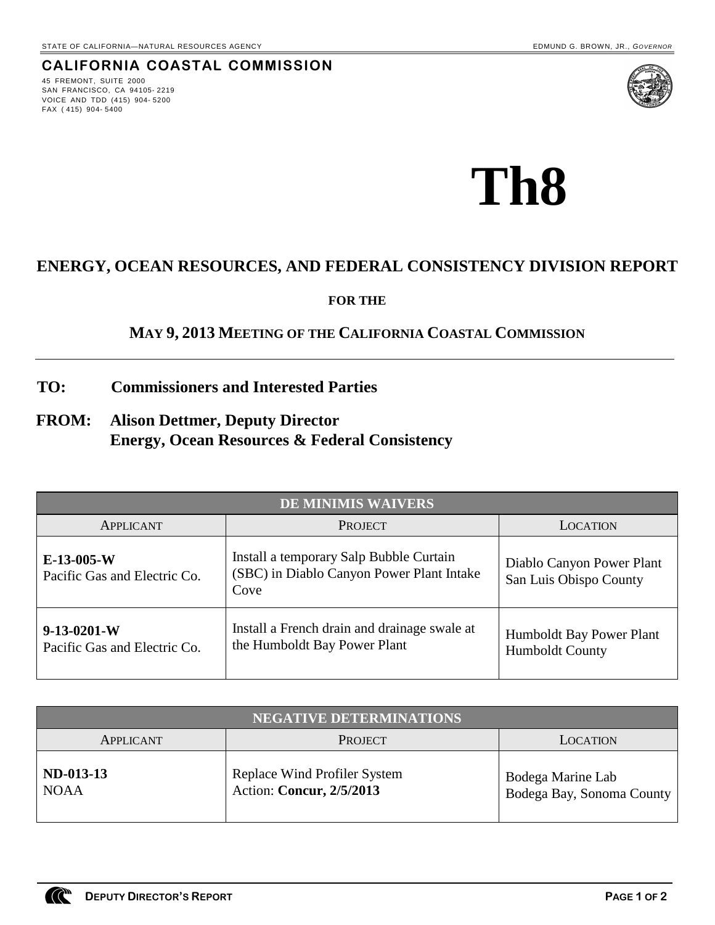# **CALIFORNIA COASTAL COMMISSION**

45 FREMONT, SUITE 2000 SAN FRANCISCO, CA 94105- 2219 VOICE AND TDD (415) 904- 5200 FAX ( 415) 904- 5400



**Th8**

# **ENERGY, OCEAN RESOURCES, AND FEDERAL CONSISTENCY DIVISION REPORT**

**FOR THE**

# **MAY 9, 2013 MEETING OF THE CALIFORNIA COASTAL COMMISSION**

- **TO: Commissioners and Interested Parties**
- **FROM: Alison Dettmer, Deputy Director Energy, Ocean Resources & Federal Consistency**

|                                               | <b>DE MINIMIS WAIVERS</b>                                                                    |                                                     |
|-----------------------------------------------|----------------------------------------------------------------------------------------------|-----------------------------------------------------|
| <b>APPLICANT</b>                              | <b>PROJECT</b>                                                                               | <b>LOCATION</b>                                     |
| $E-13-005-W$<br>Pacific Gas and Electric Co.  | Install a temporary Salp Bubble Curtain<br>(SBC) in Diablo Canyon Power Plant Intake<br>Cove | Diablo Canyon Power Plant<br>San Luis Obispo County |
| $9-13-0201-W$<br>Pacific Gas and Electric Co. | Install a French drain and drainage swale at<br>the Humboldt Bay Power Plant                 | Humboldt Bay Power Plant<br>Humboldt County         |

|                            | <b>NEGATIVE DETERMINATIONS</b>                                  |                                                |
|----------------------------|-----------------------------------------------------------------|------------------------------------------------|
| APPLICANT                  | <b>PROJECT</b>                                                  | <b>LOCATION</b>                                |
| $ND-013-13$<br><b>NOAA</b> | <b>Replace Wind Profiler System</b><br>Action: Concur, 2/5/2013 | Bodega Marine Lab<br>Bodega Bay, Sonoma County |

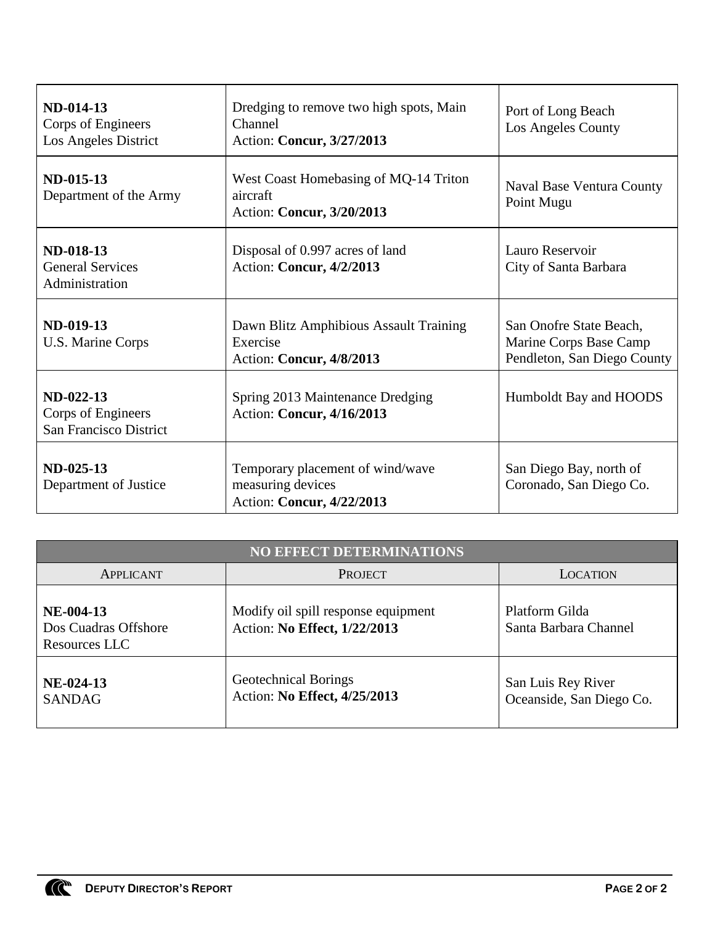| <b>ND-014-13</b><br>Corps of Engineers<br>Los Angeles District | Dredging to remove two high spots, Main<br>Channel<br>Action: Concur, 3/27/2013    | Port of Long Beach<br>Los Angeles County                                         |
|----------------------------------------------------------------|------------------------------------------------------------------------------------|----------------------------------------------------------------------------------|
| ND-015-13<br>Department of the Army                            | West Coast Homebasing of MQ-14 Triton<br>aircraft<br>Action: Concur, 3/20/2013     | <b>Naval Base Ventura County</b><br>Point Mugu                                   |
| <b>ND-018-13</b><br><b>General Services</b><br>Administration  | Disposal of 0.997 acres of land<br>Action: Concur, 4/2/2013                        | Lauro Reservoir<br>City of Santa Barbara                                         |
| ND-019-13<br>U.S. Marine Corps                                 | Dawn Blitz Amphibious Assault Training<br>Exercise<br>Action: Concur, 4/8/2013     | San Onofre State Beach,<br>Marine Corps Base Camp<br>Pendleton, San Diego County |
| ND-022-13<br>Corps of Engineers<br>San Francisco District      | Spring 2013 Maintenance Dredging<br>Action: Concur, 4/16/2013                      | Humboldt Bay and HOODS                                                           |
| ND-025-13<br>Department of Justice                             | Temporary placement of wind/wave<br>measuring devices<br>Action: Concur, 4/22/2013 | San Diego Bay, north of<br>Coronado, San Diego Co.                               |

|                                                      | <b>NO EFFECT DETERMINATIONS</b>                                     |                                                |
|------------------------------------------------------|---------------------------------------------------------------------|------------------------------------------------|
| APPLICANT                                            | <b>PROJECT</b>                                                      | <b>LOCATION</b>                                |
| $NE-004-13$<br>Dos Cuadras Offshore<br>Resources LLC | Modify oil spill response equipment<br>Action: No Effect, 1/22/2013 | Platform Gilda<br>Santa Barbara Channel        |
| NE-024-13<br><b>SANDAG</b>                           | Geotechnical Borings<br>Action: No Effect, 4/25/2013                | San Luis Rey River<br>Oceanside, San Diego Co. |

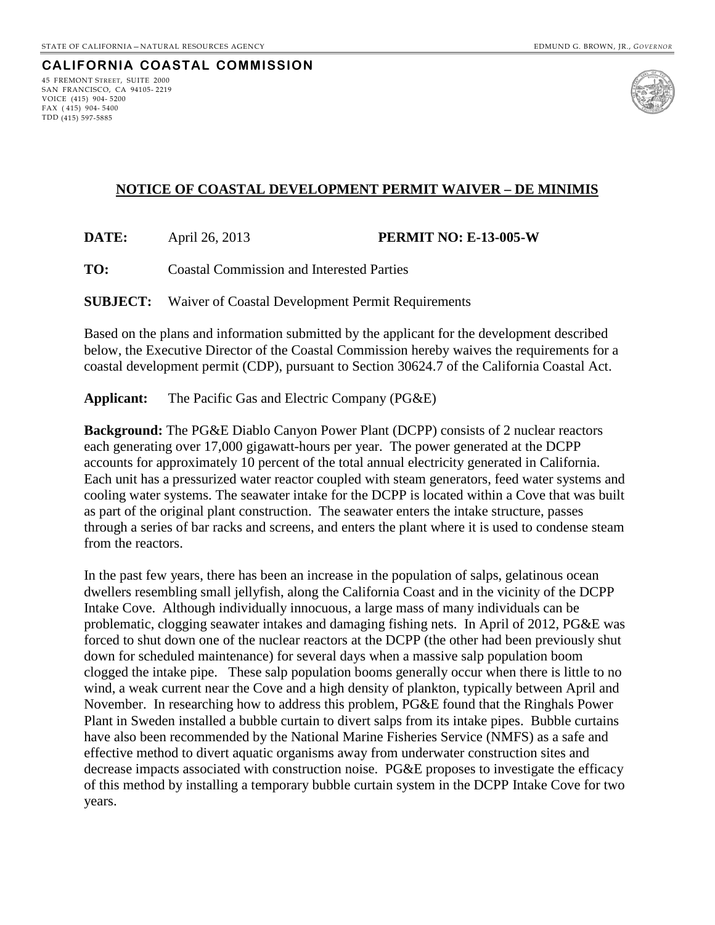#### **CALIFORNIA COASTAL COMMISSION** 45 FREMONT STREET, SUITE 2000

SAN FRANCISCO, CA 94105- 2219 VOICE (415) 904- 5200 FAX ( 415) 904- 5400 TDD (415) 597-5885



## **NOTICE OF COASTAL DEVELOPMENT PERMIT WAIVER – DE MINIMIS**

**DATE:** April 26, 2013 **PERMIT NO: E-13-005-W**

**TO:** Coastal Commission and Interested Parties

**SUBJECT:** Waiver of Coastal Development Permit Requirements

Based on the plans and information submitted by the applicant for the development described below, the Executive Director of the Coastal Commission hereby waives the requirements for a coastal development permit (CDP), pursuant to Section 30624.7 of the California Coastal Act.

**Applicant:** The Pacific Gas and Electric Company (PG&E)

**Background:** The PG&E Diablo Canyon Power Plant (DCPP) consists of 2 nuclear reactors each generating over 17,000 gigawatt-hours per year. The power generated at the DCPP accounts for approximately 10 percent of the total annual electricity generated in California. Each unit has a pressurized water reactor coupled with steam generators, feed water systems and cooling water systems. The seawater intake for the DCPP is located within a Cove that was built as part of the original plant construction. The seawater enters the intake structure, passes through a series of bar racks and screens, and enters the plant where it is used to condense steam from the reactors.

In the past few years, there has been an increase in the population of salps, gelatinous ocean dwellers resembling small jellyfish, along the California Coast and in the vicinity of the DCPP Intake Cove. Although individually innocuous, a large mass of many individuals can be problematic, clogging seawater intakes and damaging fishing nets. In April of 2012, PG&E was forced to shut down one of the nuclear reactors at the DCPP (the other had been previously shut down for scheduled maintenance) for several days when a massive salp population boom clogged the intake pipe. These salp population booms generally occur when there is little to no wind, a weak current near the Cove and a high density of plankton, typically between April and November. In researching how to address this problem, PG&E found that the Ringhals Power Plant in Sweden installed a bubble curtain to divert salps from its intake pipes. Bubble curtains have also been recommended by the National Marine Fisheries Service (NMFS) as a safe and effective method to divert aquatic organisms away from underwater construction sites and decrease impacts associated with construction noise. PG&E proposes to investigate the efficacy of this method by installing a temporary bubble curtain system in the DCPP Intake Cove for two years.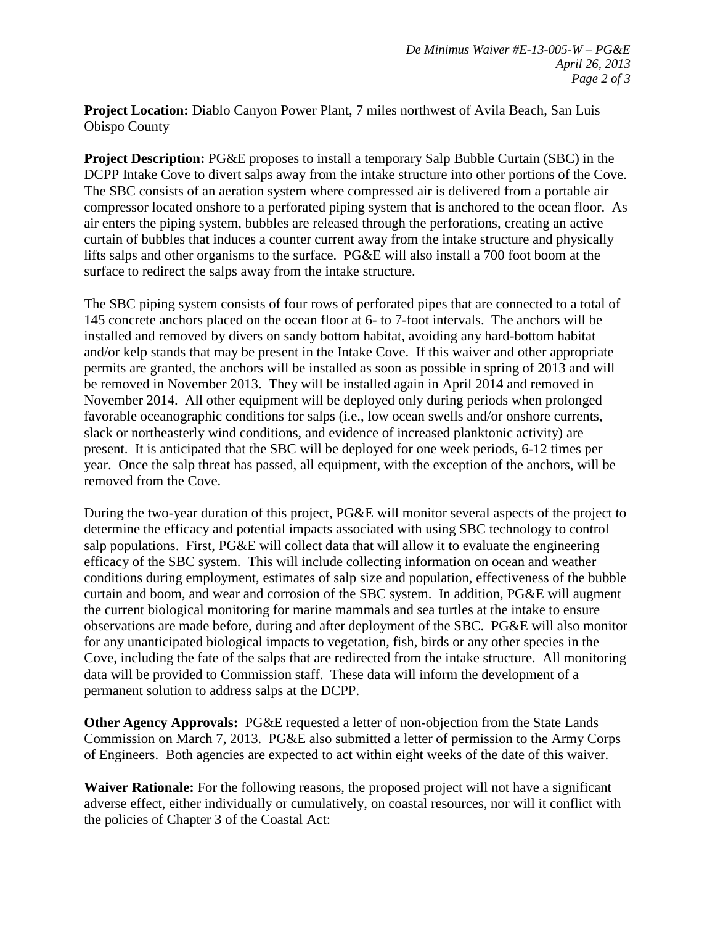**Project Location:** Diablo Canyon Power Plant, 7 miles northwest of Avila Beach, San Luis Obispo County

**Project Description:** PG&E proposes to install a temporary Salp Bubble Curtain (SBC) in the DCPP Intake Cove to divert salps away from the intake structure into other portions of the Cove. The SBC consists of an aeration system where compressed air is delivered from a portable air compressor located onshore to a perforated piping system that is anchored to the ocean floor. As air enters the piping system, bubbles are released through the perforations, creating an active curtain of bubbles that induces a counter current away from the intake structure and physically lifts salps and other organisms to the surface. PG&E will also install a 700 foot boom at the surface to redirect the salps away from the intake structure.

The SBC piping system consists of four rows of perforated pipes that are connected to a total of 145 concrete anchors placed on the ocean floor at 6- to 7-foot intervals. The anchors will be installed and removed by divers on sandy bottom habitat, avoiding any hard-bottom habitat and/or kelp stands that may be present in the Intake Cove. If this waiver and other appropriate permits are granted, the anchors will be installed as soon as possible in spring of 2013 and will be removed in November 2013. They will be installed again in April 2014 and removed in November 2014. All other equipment will be deployed only during periods when prolonged favorable oceanographic conditions for salps (i.e., low ocean swells and/or onshore currents, slack or northeasterly wind conditions, and evidence of increased planktonic activity) are present. It is anticipated that the SBC will be deployed for one week periods, 6-12 times per year. Once the salp threat has passed, all equipment, with the exception of the anchors, will be removed from the Cove.

During the two-year duration of this project, PG&E will monitor several aspects of the project to determine the efficacy and potential impacts associated with using SBC technology to control salp populations. First, PG&E will collect data that will allow it to evaluate the engineering efficacy of the SBC system. This will include collecting information on ocean and weather conditions during employment, estimates of salp size and population, effectiveness of the bubble curtain and boom, and wear and corrosion of the SBC system. In addition, PG&E will augment the current biological monitoring for marine mammals and sea turtles at the intake to ensure observations are made before, during and after deployment of the SBC. PG&E will also monitor for any unanticipated biological impacts to vegetation, fish, birds or any other species in the Cove, including the fate of the salps that are redirected from the intake structure. All monitoring data will be provided to Commission staff. These data will inform the development of a permanent solution to address salps at the DCPP.

**Other Agency Approvals:** PG&E requested a letter of non-objection from the State Lands Commission on March 7, 2013. PG&E also submitted a letter of permission to the Army Corps of Engineers. Both agencies are expected to act within eight weeks of the date of this waiver.

**Waiver Rationale:** For the following reasons, the proposed project will not have a significant adverse effect, either individually or cumulatively, on coastal resources, nor will it conflict with the policies of Chapter 3 of the Coastal Act: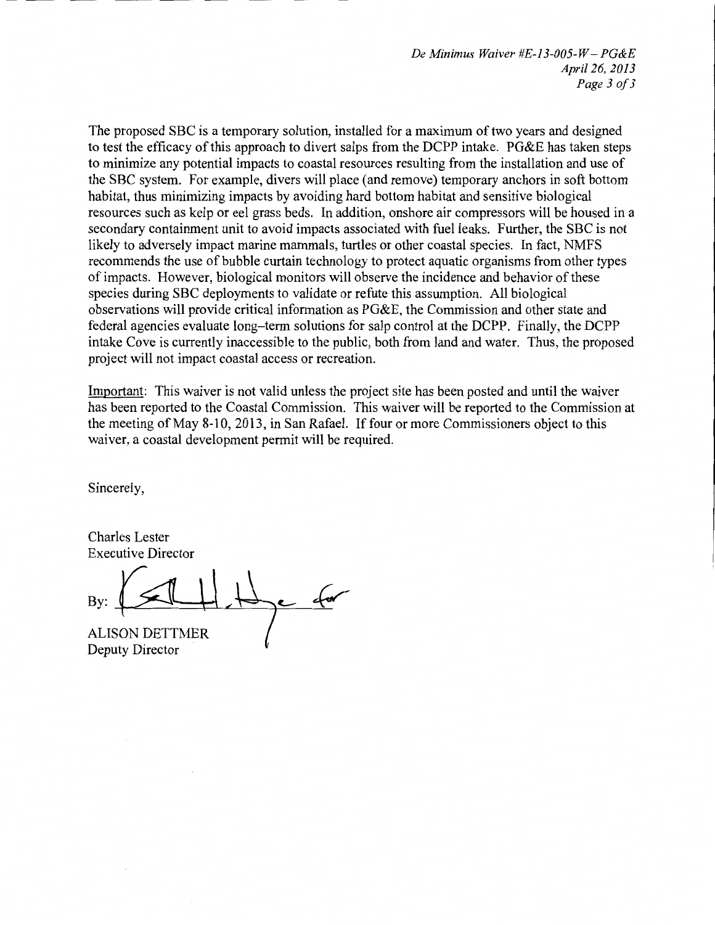*De Minimus Waiver #E-13-005-W -PG&E April 26, 2013 Page 3 oj3* 

The proposed SBC is a temporary solution, installed for a maximum of two years and designed to test the efficacy of this approach to divert salps from the DCPP intake. PG&E has taken steps to minimize any potential impacts to coastal resources resulting from the installation and use of the SBC system. For example, divers will place (and remove) temporary anchors in soft bottom habitat, thus minimizing impacts by avoiding hard bottom habitat and sensitive biological resources such as kelp or eel grass beds. In addition, onshore air compressors will be housed in a secondary containment unit to avoid impacts associated with fuel leaks. Further, the SBC is not likely to adversely impact marine mammals, turtles or other coastal species. In fact, NMFS recommends the use of bubble curtain technology to protect aquatic organisms from other types of impacts. However, biological monitors will observe the incidence and behavior of these species during SBC deployments to validate or refute this assumption. All biological observations will provide critical information as PG&E, the Commission and other state and federal agencies evaluate long-term solutions for salp control at the DCPP. Finally, the DCPP intake Cove is currently inaccessible to the public, both from land and water. Thus, the proposed project will not impact coastal access or recreation.

Important: This waiver is not valid unless the project site has been posted and until the waiver has been reported to the Coastal Commission. This waiver will be reported to the Commission at the meeting of May 8-10, 2013, in San Rafael. If four or more Commissioners object to this waiver, a coastal development permit will be required.

Sincerely,

Charles Lester Executive Director

By:

ALISON DETTMER Deputy Director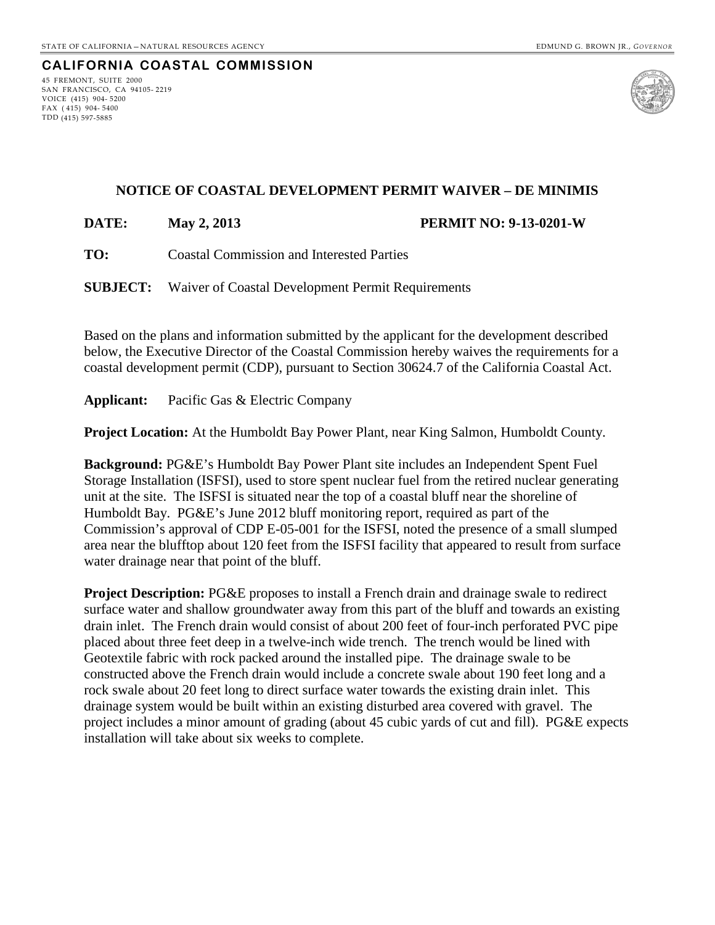#### **CALIFORNIA COASTAL COMMISSION** 45 FREMONT, SUITE 2000

SAN FRANCISCO, CA 94105- 2219 VOICE (415) 904- 5200 FAX ( 415) 904- 5400 TDD (415) 597-5885



## **NOTICE OF COASTAL DEVELOPMENT PERMIT WAIVER – DE MINIMIS**

**DATE: May 2, 2013 PERMIT NO: 9-13-0201-W**

**TO:** Coastal Commission and Interested Parties

**SUBJECT:** Waiver of Coastal Development Permit Requirements

Based on the plans and information submitted by the applicant for the development described below, the Executive Director of the Coastal Commission hereby waives the requirements for a coastal development permit (CDP), pursuant to Section 30624.7 of the California Coastal Act.

**Applicant:** Pacific Gas & Electric Company

**Project Location:** At the Humboldt Bay Power Plant, near King Salmon, Humboldt County.

**Background:** PG&E's Humboldt Bay Power Plant site includes an Independent Spent Fuel Storage Installation (ISFSI), used to store spent nuclear fuel from the retired nuclear generating unit at the site. The ISFSI is situated near the top of a coastal bluff near the shoreline of Humboldt Bay. PG&E's June 2012 bluff monitoring report, required as part of the Commission's approval of CDP E-05-001 for the ISFSI, noted the presence of a small slumped area near the blufftop about 120 feet from the ISFSI facility that appeared to result from surface water drainage near that point of the bluff.

**Project Description:** PG&E proposes to install a French drain and drainage swale to redirect surface water and shallow groundwater away from this part of the bluff and towards an existing drain inlet. The French drain would consist of about 200 feet of four-inch perforated PVC pipe placed about three feet deep in a twelve-inch wide trench. The trench would be lined with Geotextile fabric with rock packed around the installed pipe. The drainage swale to be constructed above the French drain would include a concrete swale about 190 feet long and a rock swale about 20 feet long to direct surface water towards the existing drain inlet. This drainage system would be built within an existing disturbed area covered with gravel. The project includes a minor amount of grading (about 45 cubic yards of cut and fill). PG&E expects installation will take about six weeks to complete.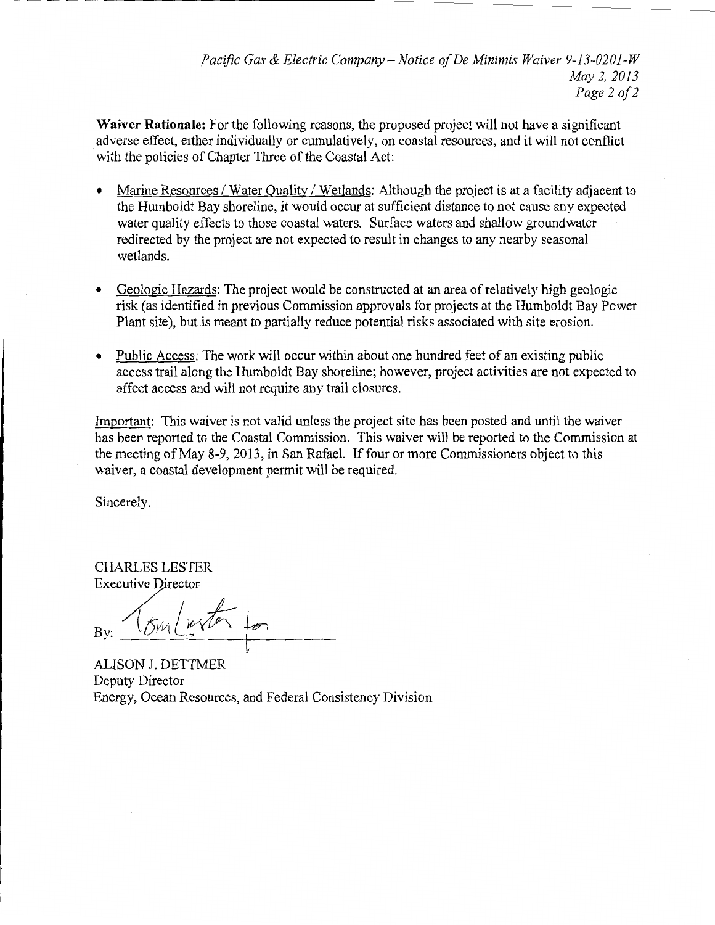*Pacific Gas* & *Electric Company- Notice of De Minimis Waiver 9-13-0201-W May2, 2013 Page 2 of2* 

**Waiver Rationale:** For the following reasons, the proposed project will not have a significant adverse effect, either individually or cumulatively, on coastal resources, and it will not conflict with the policies of Chapter Three of the Coastal Act:

- Marine Resources / Water Quality / Wetlands: Although the project is at a facility adjacent to the Humboldt Bay shoreline, it would occur at sufficient distance to not cause any expected water quality effects to those coastal waters. Surface waters and shallow groundwater redirected by the project are not expected to result in changes to any nearby seasonal wetlands.
- Geologic Hazards: The project would be constructed at an area of relatively high geologic risk (as identified in previous Commission approvals for projects at the Humboldt Bay Power Plant site), but is meant to partially reduce potential risks associated with site erosion.
- Public Access: The work will occur within about one hundred feet of an existing public access trail along the Humboldt Bay shoreline; however, project activities are not expected to affect access and will not require any trail closures.

Important: This waiver is not valid unless the project site has been posted and until the waiver has been reported to the Coastal Commission. This waiver will be reported to the Commission at the meeting ofMay 8-9,2013, in San Rafael. If four or more Commissioners object to this waiver, a coastal development permit will be required.

Sincerely,

CHARLES LESTER Executive Director

 $B_y: \frac{\sqrt{8y}\sqrt{x\sqrt{6}}}}{4LISON J. DETTMER}$ 

Deputy Director Energy, Ocean Resources, and Federal Consistency Division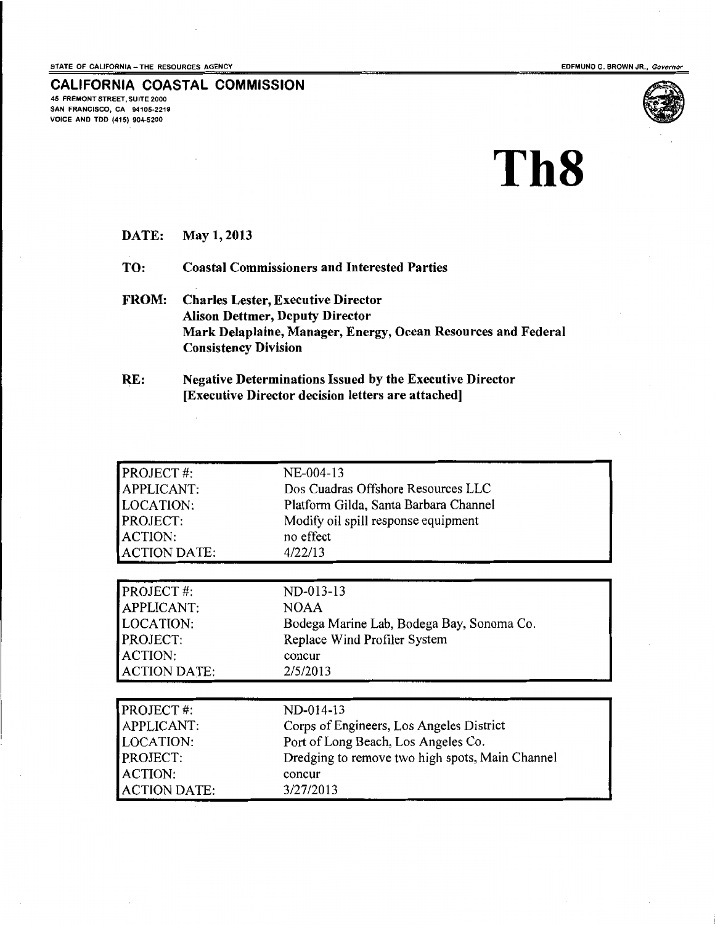EDFMUNO G. BROWN JR., Governor

#### **CALIFORNIA COASTAL COMMISSION** 45 FREMONT STREET, SUITE 2000

SAN FRANCISCO, CA 94106·2219 VOICE AND TDD (415) 904-5200



# **Th8**

DATE: May 1, 2013

TO: Coastal Commissioners and Interested Parties

- FROM: Charles Lester, Executive Director Alison Dettmer, Deputy Director Mark Delaplaine, Manager, Energy, Ocean Resources and Federal Consistency Division
- RE: Negative Determinations Issued by the Executive Director [Executive Director decision letters are attached]

| <b>PROJECT#:</b><br><b>APPLICANT:</b><br>LOCATION:<br><b>PROJECT:</b><br><b>ACTION:</b> | NE-004-13<br>Dos Cuadras Offshore Resources LLC<br>Platform Gilda, Santa Barbara Channel<br>Modify oil spill response equipment<br>no effect |
|-----------------------------------------------------------------------------------------|----------------------------------------------------------------------------------------------------------------------------------------------|
| <b>ACTION DATE:</b>                                                                     | 4/22/13                                                                                                                                      |
|                                                                                         |                                                                                                                                              |
| <b>PROJECT#:</b>                                                                        | $ND-013-13$                                                                                                                                  |
| <b>APPLICANT:</b>                                                                       | <b>NOAA</b>                                                                                                                                  |
| <b>LOCATION:</b>                                                                        | Bodega Marine Lab, Bodega Bay, Sonoma Co.                                                                                                    |
| PROJECT:                                                                                | Replace Wind Profiler System                                                                                                                 |
| <b>ACTION:</b>                                                                          | concur                                                                                                                                       |
| <b>ACTION DATE:</b>                                                                     | 2/5/2013                                                                                                                                     |
|                                                                                         |                                                                                                                                              |
| PROJECT#:                                                                               | ND-014-13                                                                                                                                    |
| <b>APPLICANT:</b>                                                                       | Corps of Engineers, Los Angeles District                                                                                                     |
| <b>LOCATION:</b>                                                                        | Port of Long Beach, Los Angeles Co.                                                                                                          |
| PROJECT:                                                                                | Dredging to remove two high spots, Main Channel                                                                                              |
| <b>ACTION:</b>                                                                          | concur                                                                                                                                       |
| <b>ACTION DATE:</b>                                                                     | 3/27/2013                                                                                                                                    |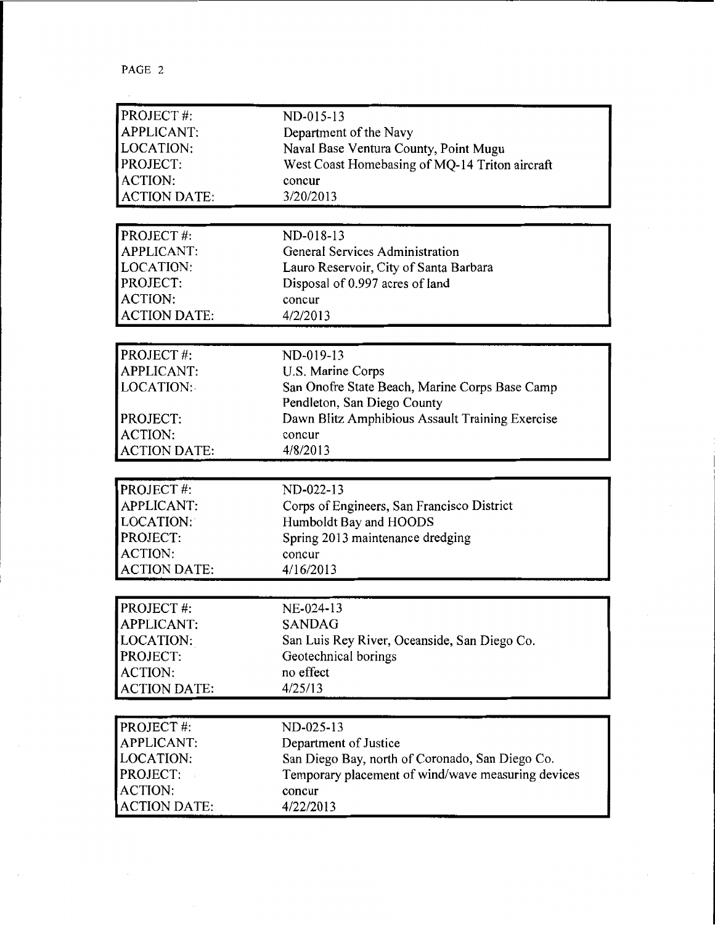$\label{eq:2.1} \frac{1}{\sqrt{2}}\int_{\mathbb{R}^3}\left|\frac{d\mathbf{y}}{d\mathbf{y}}\right|^2\,d\mathbf{y}=\int_{\mathbb{R}^3}\left|\frac{d\mathbf{y}}{d\mathbf{y}}\right|^2\,d\mathbf{y}=\int_{\mathbb{R}^3}\left|\frac{d\mathbf{y}}{d\mathbf{y}}\right|^2\,d\mathbf{y}=\int_{\mathbb{R}^3}\left|\frac{d\mathbf{y}}{d\mathbf{y}}\right|^2\,d\mathbf{y}.$ 

| PROJECT#:           | ND-015-13                                          |
|---------------------|----------------------------------------------------|
| <b>APPLICANT:</b>   | Department of the Navy                             |
| LOCATION:           | Naval Base Ventura County, Point Mugu              |
| PROJECT:            | West Coast Homebasing of MQ-14 Triton aircraft     |
| <b>ACTION:</b>      | concur                                             |
| <b>ACTION DATE:</b> | 3/20/2013                                          |
|                     |                                                    |
| PROJECT#:           | ND-018-13                                          |
| <b>APPLICANT:</b>   | General Services Administration                    |
| LOCATION:           | Lauro Reservoir, City of Santa Barbara             |
| PROJECT:            | Disposal of 0.997 acres of land                    |
| <b>ACTION:</b>      | concur                                             |
| <b>ACTION DATE:</b> | 4/2/2013                                           |
|                     |                                                    |
| PROJECT#:           | ND-019-13                                          |
| <b>APPLICANT:</b>   | U.S. Marine Corps                                  |
| LOCATION:           | San Onofre State Beach, Marine Corps Base Camp     |
|                     | Pendleton, San Diego County                        |
| PROJECT:            | Dawn Blitz Amphibious Assault Training Exercise    |
| <b>ACTION:</b>      | concur                                             |
| <b>ACTION DATE:</b> | 4/8/2013                                           |
|                     |                                                    |
|                     |                                                    |
| PROJECT#:           | ND-022-13                                          |
| <b>APPLICANT:</b>   | Corps of Engineers, San Francisco District         |
| LOCATION:           | Humboldt Bay and HOODS                             |
| PROJECT:            | Spring 2013 maintenance dredging                   |
| <b>ACTION:</b>      | concur                                             |
| <b>ACTION DATE:</b> | 4/16/2013                                          |
|                     |                                                    |
| PROJECT#:           | NE-024-13                                          |
| <b>APPLICANT:</b>   | <b>SANDAG</b>                                      |
| LOCATION:           | San Luis Rey River, Oceanside, San Diego Co.       |
| PROJECT:            | Geotechnical borings                               |
| <b>ACTION:</b>      | no effect                                          |
| <b>ACTION DATE:</b> | 4/25/13                                            |
|                     |                                                    |
| PROJECT#:           | ND-025-13                                          |
| <b>APPLICANT:</b>   | Department of Justice                              |
| LOCATION:           | San Diego Bay, north of Coronado, San Diego Co.    |
| PROJECT:            | Temporary placement of wind/wave measuring devices |
| <b>ACTION:</b>      | concur                                             |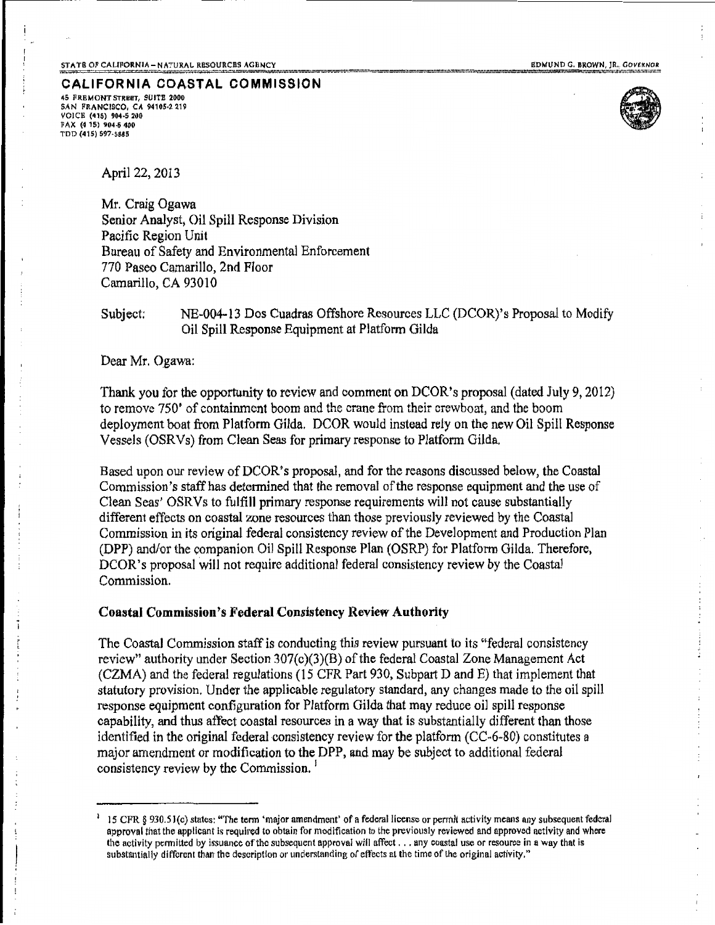CALIFORNIA COASTAL COMMISSION 45 FRHMONT STRBeT, SU ITB 2000

SAN FRANCISCO, CA 94105·2 219 VOICE (415) 904-5 200 FAX (4 15) 904.5 400 l'DD (415) 597-5885



April22, 2013

Mr. Craig Ogawa Senior Analyst, Oil Spill Response Division Pacific Region Unit Bureau of Safety and Environmental Enforcement 770 Paseo Camarillo, 2nd F1oor Camarillo, CA 93010

# Subject: NE~004-13 Dos Cuadras Offshore Resources LLC (DCOR)'s Proposal to Modify Oil Spill Response Equipment at Platform Gilda

Dear Mr. Ogawa:

Thank you for the opportunity to review and comment on DCOR's proposal (dated July 9, 2012) to remove 750' of containment boom and the crane from their crewboat, and the boom deployment boat from Platform Gilda. DCOR would instead rely on the new Oil Spill Response Vessels (OSRVs) from Clean Seas for primary response to Platform Gilda.

Based upon our review of DCOR's proposal, and for the reasons discussed below, the Coastal Commission's staff has determined that the removal of the response equipment and the use of Clean Seas' OSRVs to fulfi11 primary response requirements will not cause substantially different effects on coastal zone resources than those previously reviewed by the Coastal Commission in its original federal consistency review of the Development and Production Plan (DPP) and/or the companion Oil Spill Response Plan (OSRP) for Platform Gilda. Therefore, DCOR's proposal will not require additional federal consistency review by the Coastal Commission.

#### Coastal Commission's Federal Consistency Review Authority

The Coastal Commission staff is conducting this review pursuant to its "federal consistency review" authority under Section 307(c)(3)(B) of the federal Coastal Zone Management Act (CZMA) and the federal regulations (15 CFR Part 930, Subpart D and E) that implement that statutory provision. Under the applicable regulatory standard, any changes made to the oil spill response equipment configuration for Platform Gilda that may reduce oil spill response capability, and thus affect coastal resources in a way that is substantially different than those identified in the original federal consistency review for the platform (CC~6-80) constitutes a major amendment or modification to the DPP, and may be subject to additional federal consistency review by the Commission.<sup>1</sup>

<sup>&</sup>lt;sup>1</sup> 15 CFR § 930.51(c) states: "The term 'major amendment' of a federal license or permit activity means any subsequent federal approval that the applicant is required to obtain for modification to the previously reviewed and approved activity and where the activity permitted by issuance of the subsequent approval will affect . . . any coastal use or resource in a way that is substantially different than the description or understanding of effects at the time of the original activity,"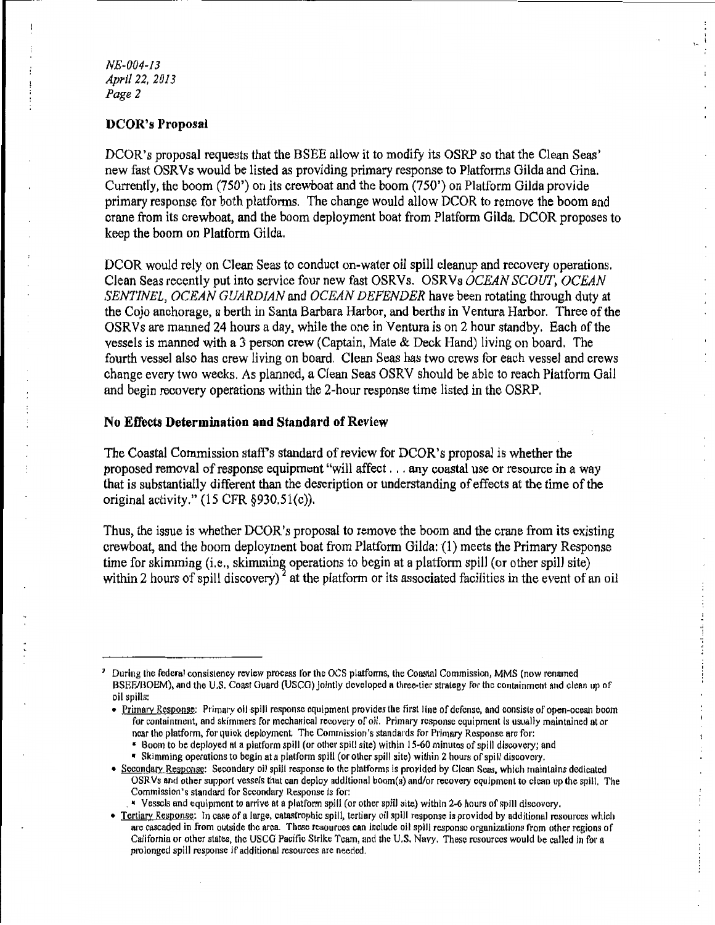#### *NE-004-13 April 22, 2013 Page 2*

#### **DCOR's Proposal**

DCOR's proposal requests that the BSEE allow it to modify its OSRP so that the Clean Seas' new fast OSRVs would be listed as providing primary response to Platforms Gilda and Gina. Currently, the boom (750') on its crewboat and the boom (750') on Platform Gilda provide primary response for both platforms. The change would allow DCOR to remove the boom and crane from its crewboat, and the boom deployment boat from Platform Gilda. DCOR proposes to keep the boom on Platform Gilda.

DCOR would rely on Clean Seas to conduct on-water oil spill cleanup and recovery operations. Clean Seas recently put into service four new fast OSRVs. OSRVs *OCEAN SCOUT, OCEAN SENTINEL, OCEAN GUARDIAN* and *OCEAN DEFENDER* have been rotating through duty at the Cojo anchorage, a berth in Santa Barbara Harbor, and berths in Ventura Harbor. Three of the OSRVs are manned 24 hours a day, while the one in Ventura is on 2 hour standby. Each of the vessels is manned with a 3 person crew (Captain, Mate & Deck Hand) living on board. The fourth vessel also has crew living on board. Clean Seas has two crews for each vessel and crews change every two weeks. As planned, a Clean Seas OSRV should be able to reach Platform Gail and begin recovery operations within the 2-hour response time listed in the OSRP.

#### **No Effects Determination and Standard of Review**

The Coastal Commission staff's standard of review for DCOR's proposal is whether the proposed removal of response equipment "will affect ... any coastal use or resource in a way that is substantially different than the description or understanding of effects at the time of the original activity." (15 CFR §930.5l(c)).

Thus, the issue is whether DCOR's proposal to remove the boom and the crane from its existing crewboat, and the boom deployment boat from Platform Gilda: {1) meets the Primary Response time for skimming (i.e., skimming operations to begin at a platform spill (or other spill site) within 2 hours of spill discovery)<sup>2</sup> at the platform or its associated facilities in the event of an oil

 $\frac{1}{2}$  and  $\frac{1}{2}$  and  $\frac{1}{2}$  and  $\frac{1}{2}$  and  $\frac{1}{2}$ 

 $\frac{1}{2}$ 

Ť.  $\frac{1}{2}$ 

 $\vdots$ 

<sup>&</sup>lt;sup>2</sup> During the federal consistency review process for the OCS platforms, the Coastal Commission, MMS (now renamed BSEE/BOEM), and the U.S. Coast Guard (USCG) jointly developed a three-tier strategy for the containment and clean up of oil spills:

<sup>•</sup> Primary Response: Primary oil spill response equipment provides the first line of defense, and consists of open-ocean boom for containment, and skimmers for mechanical recovery of oil. Primary response equipment Is usually maintained at or ncar the platform, for quick deployment. The Commission's standards for Primary Response arc for:

<sup>•</sup> Boom to be deployed at a platform spill (or other spill site) within 15-60 minutes of spill discovery; and • Skimming operotions to begin at a platfonn spill (or other spill site) within 2 hours of spill discovery.

<sup>•</sup> Secondary Response: Secondary oil spill response to the platforms is provided by Clean Seas, which maintains dedicated OSRVs and other support vessels that can deploy additional boom(s) and/or recovery equipment to clean up the spill. The Commission's standard for Secondary Response is tor:

<sup>\*</sup> Vessels and equipment to arrive at a platform spill (or other spill site) within 2-6 hours of spill discovery.

<sup>•</sup> Tertiary Response: In case of a large, catastrophic spill, tertiary oil spill response is provided by additional resources which are cascaded in from outside the area. These resources can include oil spill response organizations from other regions of California or other states, the USCG Pacific Strike Team, and the U.S. Navy. These resources would be called in for a prolonged spill response if additional resources are needed.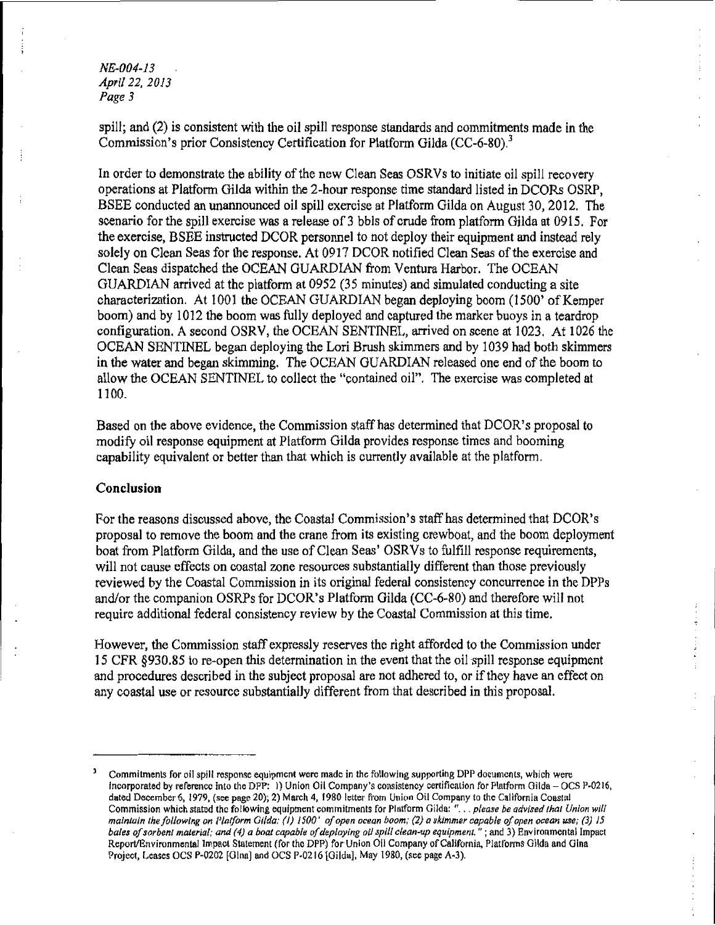*NE-004-13 Apri/22, 2013 Page 3* 

spill; and (2) is consistent with the oil spill response standards and commitments made in the Commission's prior Consistency Certification for Platform Gilda (CC-6-80).<sup>3</sup>

In order to demonstrate the ability of the new Clean Seas OSRVs to initiate oil spill recovery operations at Platform Gilda within the 2-hour response time standard listed in DCORs OSRP, BSEE conducted an unannounced oil spill exercise at Platform Gilda on August 30, 2012. The scenario for the spill exercise was a release of 3 bbls of crude from platform Gilda at 0915. For the exercise, BSEE instructed DCOR personnel to not deploy their equipment and instead rely solely on Clean Seas for the response. At 0917 DCOR notified Clean Seas of the exercise and Clean Seas dispatched the OCEAN GUARDIAN from Ventura Harbor. The OCEAN GUARDIAN arrived at the platform at 0952 (35 minutes) and simulated conducting a site characterization. At 1001 the OCEAN GUARDIAN began deploying boom (1500' of Kemper boom) and by 1012 the boom was fully deployed and captured the marker buoys in a teardrop configuration. A second OSRV, the OCEAN SENTINEL, arrived on scene at 1023. At 1026 the OCEAN SENTINEL began deploying the Lori Brush skimmers and by 1039 had both skimmers in the water and began skimming. The OCEAN GUARDIAN released one end of the boom to allow the OCEAN SENTINEL to collect the "contained oil". The exercise was completed at 1100.

Based on the above evidence, the Commission staff has determined that DCOR's proposal to modify oil response equipment at Platform Gilda provides response times and booming capability equivalent or better than that which is currently available at the platform.

## **Conclusion**

For the reasons discussed above, the Coastal Commission's staff has determined that DCOR's proposal to remove the boom and the crane from its existing crewboat, and the boom deployment boat from Platform Gilda, and the use of Clean Seas' OSRVs to fulfill response requirements, will not cause effects on coastal zone resources substantially different than those previously reviewed by the Coastal Commission in its original federal consistency concurrence in the DPPs and/or the companion OSRPs for DCOR's Platform Gilda (CC-6-80) and therefore will not require additional federal consistency review by the Coastal Commission at this time.

However, the Commission staff expressly reserves the right afforded to the Commission under 15 CFR §930.85 to re-open this determination in the event that the oil spill response equipment and procedures described in the subject proposal are not adhered to, or if they have an effect on any coastal use or resource substantially different from that described in this proposal.

Commitments for oil spill response equipment were made in the following supporting DPP documents, which were incorporated by reference into the DPP: 1) Union Oil Company's consistency certification for Platform Gilda - OCS P-0216, dated December 6, 1979, (see page 20); 2) March 4, 1980 letter from Union Oil Company to the California Coastal Commission which stated the following equipment commitments for Platform Gilda: " ... *please be advised that Union will maintain the following on Platform Gilda: (I) 1500' of open ocean boom; (2) a* ~·ktmmer *capable of open ocean use; (3) 15 bales ofsorbent material; and (4) a boat capable* of *deploying oil spill clean-up equipment.";* and 3) Environmental Impact Report/Environmental Impact Statement (for the DPP) for Union Oil Company of California, Platforms Gilda and Gina Project, Leases OCS P-0202 [Gina] and OCS P-0216 [Gilda], May 1980, (see page A-3).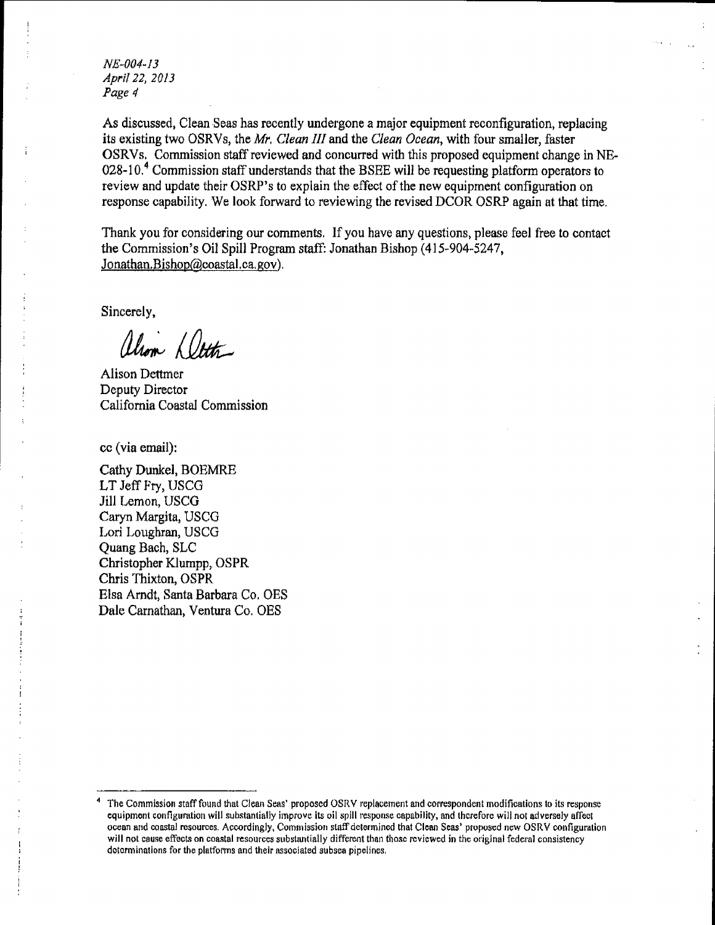NE-004-13 *April22, 2013 Page4* 

As discussed, Clean Seas has recently undergone a major equipment reconfiguration, replacing its existing two OSRVs, the *Mr. Clean III* and the *Clean Ocean,* with four smaller, faster OSRVs. Commission staffreviewed and concurred with this proposed equipment change in NE-028-10.<sup>4</sup> Commission staff understands that the BSEE will be requesting platform operators to review and update their OSRP's to explain the effect of the new equipment configuration on response capability. We look forward to reviewing the revised DCOR OSRP again at that time.

Thank you for considering our comments. If you have any questions, please feel free to contact the Commission's Oil Spill Program staff: Jonathan Bishop (415-904-5247, Jonathan.Bishop@coastal.ca.gov).

Sincerely,

alron Deth

Alison Dettmer Deputy Director California Coastal Commission

cc (via email):

Cathy Dunkel, BOEMRE LT Jeff Fty, USCG Jill Lemon, USCG Caryn Margita, USCG Lori Loughran, USCG Quang Bach, SLC Christopher Klumpp, OSPR Chris Thixton, OSPR Elsa Arndt, Santa Barbara Co. OES Dale Carnathan, Ventura Co. OES

The Commission staff found that Clean Seas' proposed OSRV replacement and correspondent modifications to its response equipment configuration will substantially improve its oil spill response capability, and therefore will not adversely affect ocean and coastal resources. Accordingly, Commission staffdetermincd that Clean Seas' proposed new OSRV configuration will not cause effects on coastal resources substantially different than those reviewed in the original federal consistency determinations for the platforms and their associated subsea pipelines.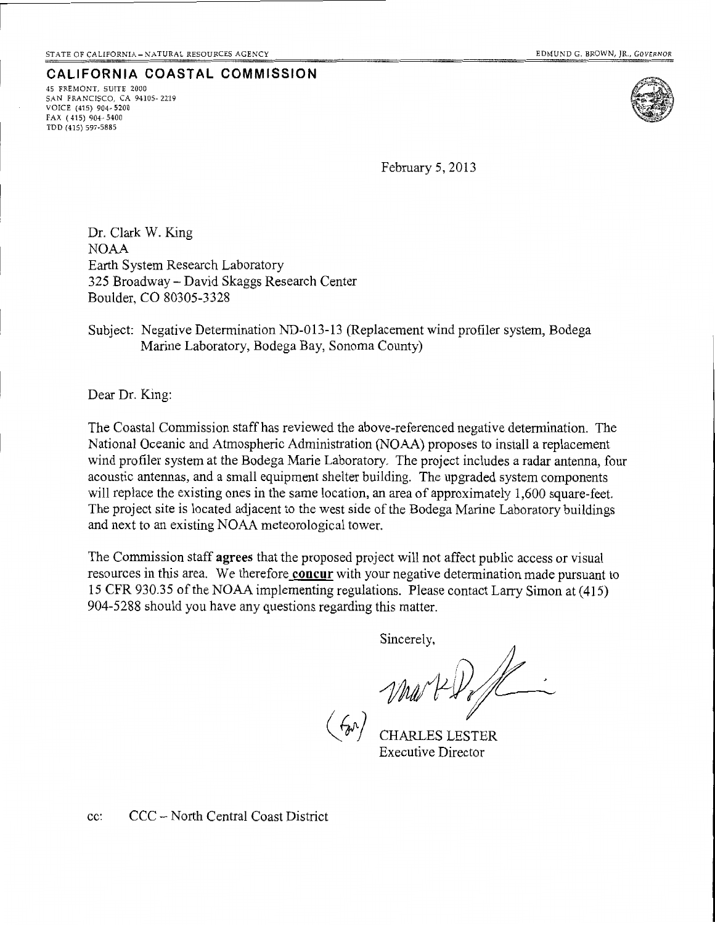**CALIFORNIA COASTAL COMMISSION**  45 FREMONT, SUITE 2000 SAN FRANCISCO, CA 94I05- 2219 VOICE (415) 904-5200  $FAX (415) 904 - 5400$ TDD (415) 597-5885



February 5, 2013

Dr. Clark W. King NOAA Earth System Research Laboratory 325 Broadway- David Skaggs Research Center Boulder, CO 80305-3328

# Subject: Negative Determination ND-013-13 (Replacement wind profiler system, Bodega Marine Laboratory, Bodega Bay, Sonoma County)

Dear Dr. King:

The Coastal Commission staff has reviewed the above-referenced negative determination. The National Oceanic and Atmospheric Administration (NOAA) proposes to install a replacement wind profiler system at the Bodega Marie Laboratory. The project includes a radar antenna, four acoustic antennas, and a small equipment shelter building. The upgraded system components will replace the existing ones in the same location, an area of approximately 1,600 square-feet. The project site is located adjacent to the west side of the Bodega Marine Laboratory buildings and next to an existing NOAA meteorological tower.

The Commission staff **agrees** that the proposed project will not affect public access or visual resources in this area. We therefore **concur** with your negative determination made pursuant to 15 CFR 930.35 ofthe NOAA implementing regulations. Please contact Larry Simon at (415) 904-5288 should you have any questions regarding this matter.

Sincerely,

CHARLES LESTER Executive Director

cc: CCC- North Central Coast District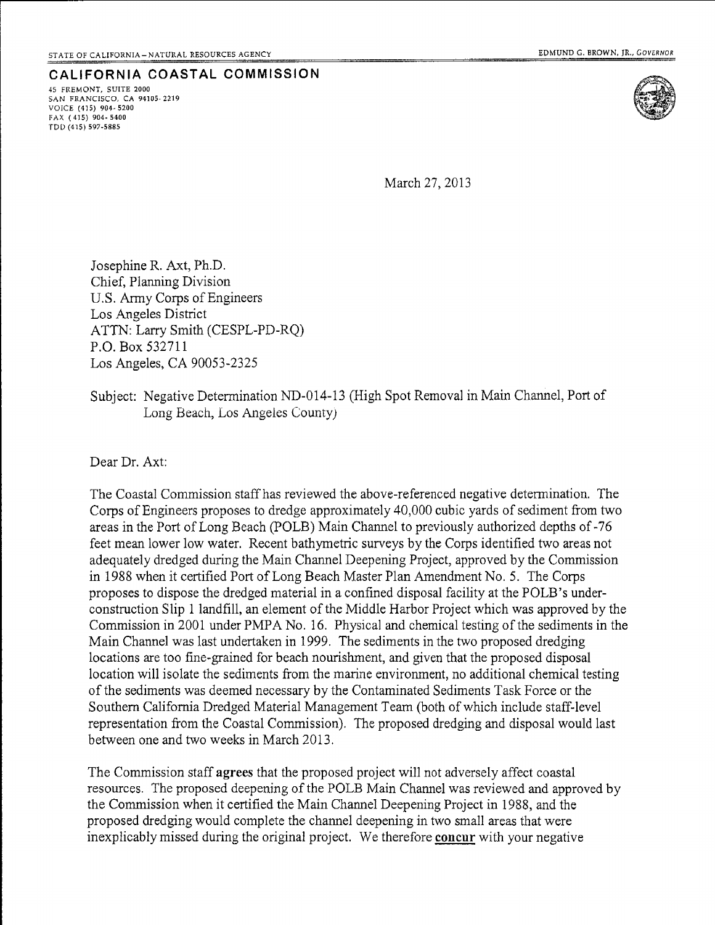**CALIFORNIA COASTAL COMMISSION**  45 FREMONT, SUITE 2000 SAN FRANCISCO, CA 94105-2219 VOICE (415) 904-5200 FAX ( 415) 904· 5400 TDD (415) 597-5885



March 27, 2013

Josephine R. Axt, Ph.D. Chief, Planning Division U.S. Army Corps of Engineers Los Angeles District ATTN: Larry Smith (CESPL-PD-RQ) P.O. Box 532711 Los Angeles, CA 90053-2325

# Subject: Negative Determination ND-014-13 (High Spot Removal in Main Channel, Port of Long Beach, Los Angeles County)

Dear Dr. Axt:

The Coastal Commission staff has reviewed the above-referenced negative determination. The Corps of Engineers proposes to dredge approximately 40,000 cubic yards of sediment from two areas in the Port of Long Beach (POLB) Main Channel to previously authorized depths of -76 feet mean lower low water. Recent bathymetric surveys by the Corps identified two areas not adequately dredged during the Main Channel Deepening Project, approved by the Commission in 1988 when it certified Port of Long Beach Master Plan Amendment No.5. The Corps proposes to dispose the dredged material in a confined disposal facility at the POLE's underconstruction Slip 1 landfill, an element of the Middle Harbor Project which was approved by the Commission in 2001 under PMPA No. 16. Physical and chemical testing of the sediments in the Main Channel was last undertaken in 1999. The sediments in the two proposed dredging locations are too fine-grained for beach nourishment, and given that the proposed disposal location will isolate the sediments from the marine environment, no additional chemical testing of the sediments was deemed necessary by the Contaminated Sediments Task Force or the Southern California Dredged Material Management Team (both of which include staff-level representation from the Coastal Commission). The proposed dredging and disposal would last between one and two weeks in March 2013.

The Commission staff agrees that the proposed project will not adversely affect coastal resources. The proposed deepening of the POLE Main Channel was reviewed and approved by the Commission when it certified the Main Channel Deepening Project in 1988, and the proposed dredging would complete the channel deepening in two small areas that were inexplicably missed during the original project. We therefore **concur** with your negative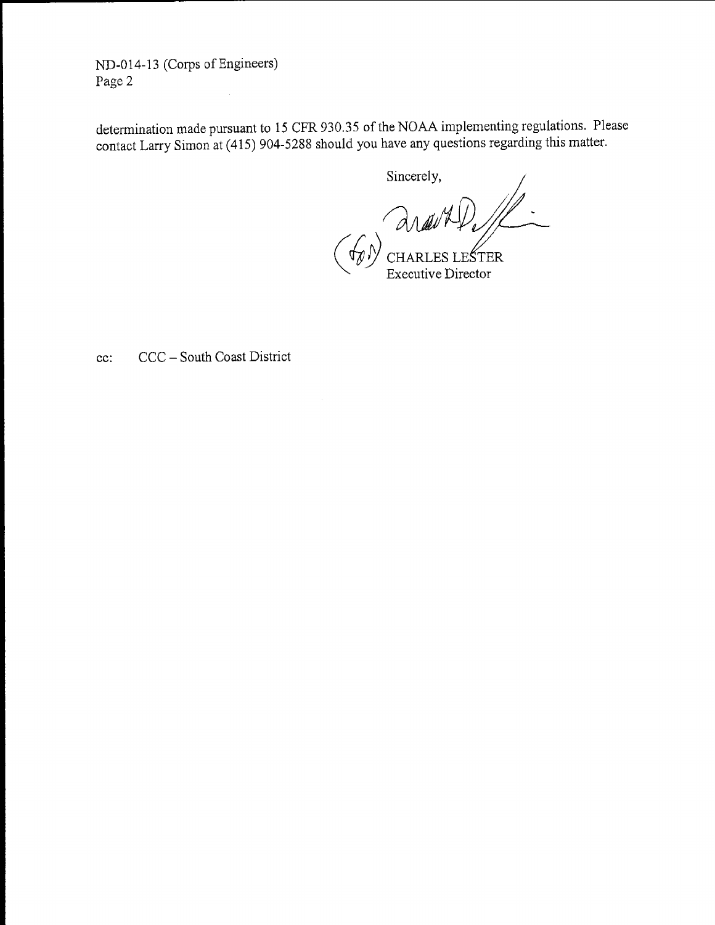ND-014-13 (Corps of Engineers) Page 2

determination made pursuant to 15 CFR 930.35 of the NOAA implementing regulations. Please contact Larry Simon at (415) 904-5288 should you have any questions regarding this matter.

Sincerely,

AVAP

**Executive Director** 

cc: CCC- South Coast District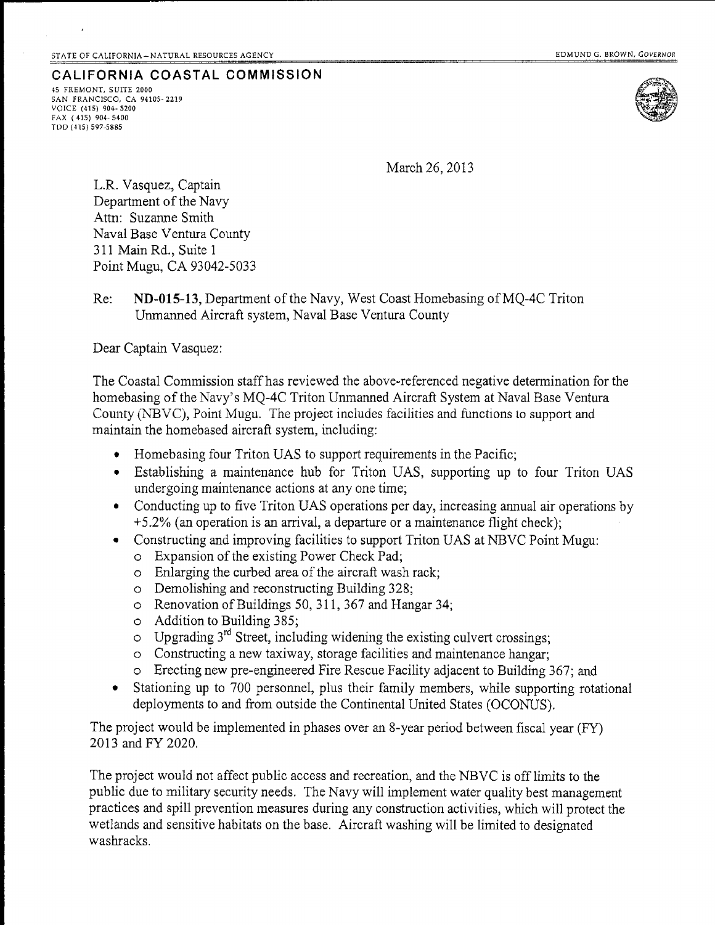**CALIFORNIA COASTAL COMMISSION** 45 FREMONT, SUITE 2000 SAN FRANCISCO, CA 94105-2219 VOICE (415) 904-5200 FAX (415) 904-5400 TllD (415) 597-5885



March 26,2013

L.R. Vasquez, Captain Department of the Navy Attn: Suzanne Smith Naval Base Ventura County 311 Main Rd., Suite 1 Point Mugu, CA 93042-5033

Re: **ND-015-13,** Department of the Navy, West Coast Homebasing ofMQ-4C Triton Unmanned Aircraft system, Naval Base Ventura County

Dear Captain Vasquez:

The Coastal Commission staff has reviewed the above-referenced negative determination for the homebasing of the Navy's MQ-4C Triton Unmanned Aircraft System at Naval Base Ventura County (NBVC), Point Mugu. The project includes facilities and functions to support and maintain the homebased aircraft system, including:

- Homebasing four Triton UAS to support requirements in the Pacific;
- Establishing a maintenance hub for Triton UAS, supporting up to four Triton UAS undergoing maintenance actions at any one time;
- Conducting up to five Triton UAS operations per day, increasing annual air operations by +5.2% (an operation is an arrival, a departure or a maintenance flight check);
- Constructing and improving facilities to support Triton UAS at NBVC Point Mugu:
	- o Expansion of the existing Power Check Pad;
	- o Enlarging the curbed area of the aircraft wash rack;
	- o Demolishing and reconstructing Building 328;
	- $\circ$  Renovation of Buildings 50, 311, 367 and Hangar 34;
	- o Addition to Building 385;
	- $\circ$  Upgrading 3<sup>rd</sup> Street, including widening the existing culvert crossings;
	- o Constructing a new taxiway, storage facilities and maintenance hangar;
	- o Erecting new pre-engineered Fire Rescue Facility adjacent to Building 367; and
- Stationing up to 700 personnel, plus their family members, while supporting rotational deployments to and from outside the Continental United States (OCONUS).

The project would be implemented in phases over an 8-year period between fiscal year (FY) 2013 and FY 2020.

The project would not affect public access and recreation, and the NBVC is offlimits to the public due to military security needs. The Navy will implement water quality best management practices and spill prevention measures during any construction activities, which will protect the wetlands and sensitive habitats on the base. Aircraft washing will be limited to designated washracks.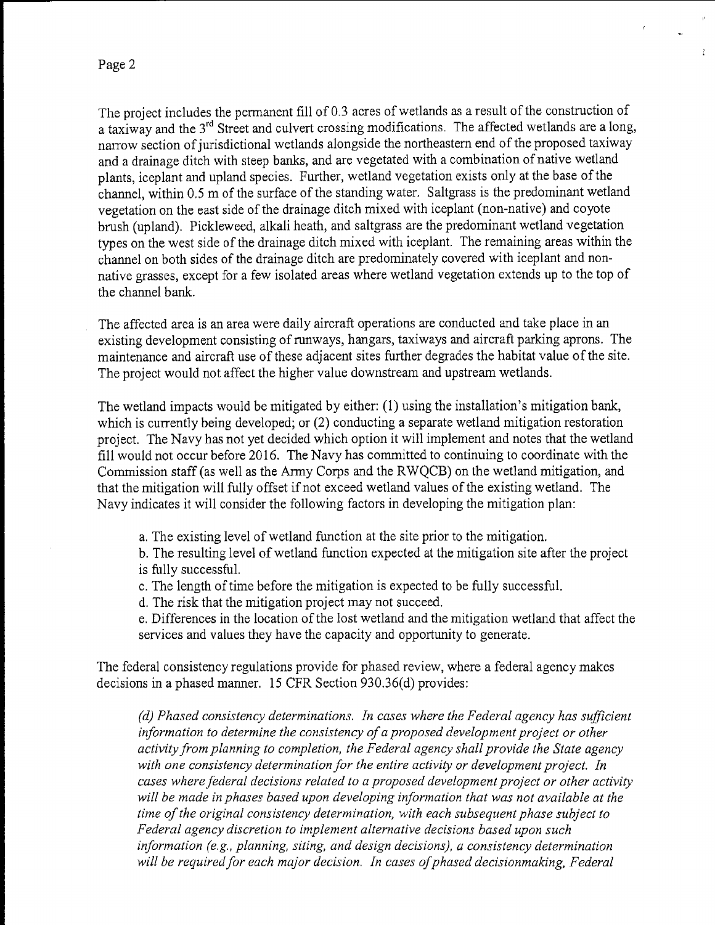The project includes the permanent fill of 0.3 acres of wetlands as a result of the construction of a taxiway and the 3<sup>rd</sup> Street and culvert crossing modifications. The affected wetlands are a long, narrow section of jurisdictional wetlands alongside the northeastern end of the proposed taxiway and a drainage ditch with steep banks, and are vegetated with a combination of native wetland plants, iceplant and upland species. Further, wetland vegetation exists only at the base of the channel, within 0.5 m of the surface of the standing water. Saltgrass is the predominant wetland vegetation on the east side of the drainage ditch mixed with iceplant (non-native) and coyote brush (upland). Pickleweed, alkali heath, and saltgrass are the predominant wetland vegetation types on the west side of the drainage ditch mixed with iceplant. The remaining areas within the channel on both sides of the drainage ditch are predominately covered with iceplant and nonnative grasses, except for a few isolated areas where wetland vegetation extends up to the top of the channel bank.

The affected area is an area were daily aircraft operations are conducted and take place in an existing development consisting of runways, hangars, taxiways and aircraft parking aprons. The maintenance and aircraft use of these adjacent sites further degrades the habitat value of the site. The project would not affect the higher value downstream and upstream wetlands.

The wetland impacts would be mitigated by either: (1) using the installation's mitigation bank, which is currently being developed; or (2) conducting a separate wetland mitigation restoration project. The Navy has not yet decided which option it will implement and notes that the wetland fill would not occur before 2016. The Navy has committed to continuing to coordinate with the Commission staff(as well as the Army Corps and the RWQCB) on the wetland mitigation, and that the mitigation will fully offset if not exceed wetland values of the existing wetland. The Navy indicates it will consider the following factors in developing the mitigation plan:

a. The existing level of wetland function at the site prior to the mitigation.

b. The resulting level of wetland function expected at the mitigation site after the project is fully successful.

- c. The length of time before the mitigation is expected to be fully successful.
- d. The risk that the mitigation project may not succeed.

e. Differences in the location of the lost wetland and the mitigation wetland that affect the services and values they have the capacity and opportunity to generate.

The federal consistency regulations provide for phased review, where a federal agency makes decisions in a phased manner. 15 CFR Section 930.36(d) provides:

*(d) Phased consistency determinations. In cases where the Federal agency has sufficient information to determine the consistency of a proposed development project or other activity from planning to completion, the Federal agency shall provide the State agency with one consistency determination for the entire activity or development project. In cases where federal decisions related to a proposed development project or other activity will be made in phases based upon developing information that was not available at the time of the original consistency determination, with each subsequent phase subject to Federal agency discretion to implement alternative decisions based upon such information (e.g., planning, siting, and design decisions), a consistency determination*  will be required for each major decision. In cases of phased decisionmaking, Federal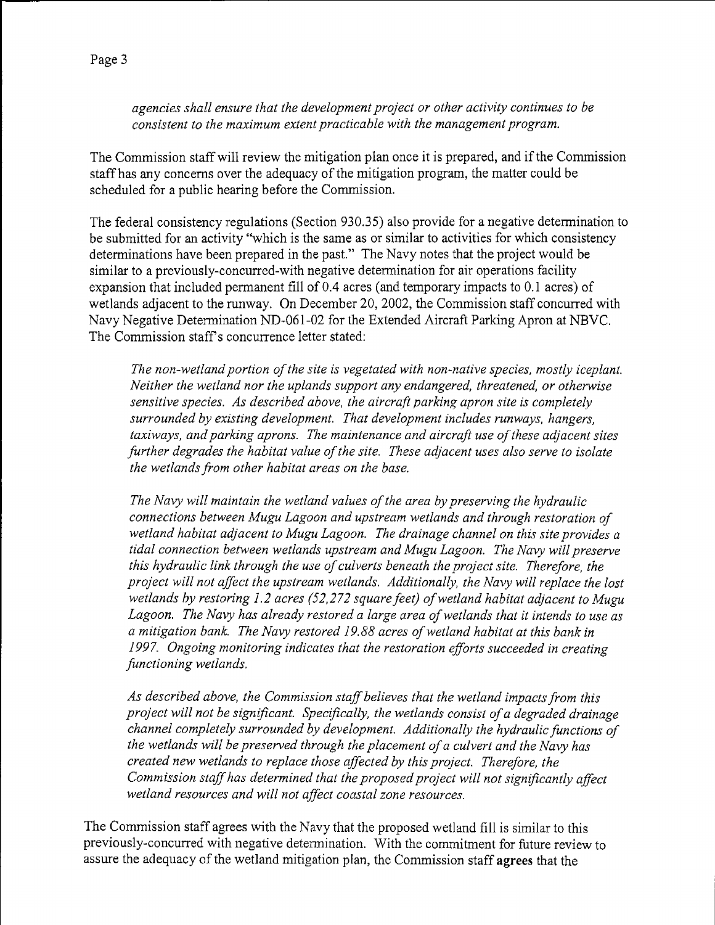*agencies shall ensure that the development project or other activity continues to be consistent to the maximum extent practicable with the management program.* 

The Commission staff will review the mitigation plan once it is prepared, and if the Commission staff has any concerns over the adequacy of the mitigation program, the matter could be scheduled for a public hearing before the Commission.

The federal consistency regulations (Section 930.35) also provide for a negative determination to be submitted for an activity "which is the same as or similar to activities for which consistency determinations have been prepared in the past." The Navy notes that the project would be similar to a previously-concurred-with negative determination for air operations facility expansion that included permanent fill of 0.4 acres (and temporary impacts to 0.1 acres) of wetlands adjacent to the runway. On December 20, 2002, the Commission staff concurred with Navy Negative Determination ND-061-02 for the Extended Aircraft Parking Apron at NBVC. The Commission staff's concurrence letter stated:

*The non-wetland portion of the site is vegetated with non-native species, mostly iceplant. Neither the wetland nor the uplands support any endangered, threatened, or otherwise sensitive species. As described above, the aircraft parking apron site is completely surrounded by existing development. That development includes runways, hangers, taxiways, and parking aprons. The maintenance and aircraft use of these adjacent sites further degrades the habitat value of the site. These adjacent uses also serve to isolate the wetlands from other habitat areas on the base.* 

*The Navy will maintain the wetland values of the area by preserving the hydraulic connections between Mugu Lagoon and upstream wetlands and through restoration of wetland habitat adjacent to Mugu Lagoon. The drainage channel on this site provides a tidal connection between wetlands upstream and Mugu Lagoon. The Navy will preserve this hydraulic link through the use of culverts beneath the project site. Therefore, the project will not affect the upstream wetlands. Additionally, the Navy will replace the lost wetlands by restoring 1.2 acres (52,272 square feet) of wetland habitat adjacent to Mugu Lagoon. The Navy has already restored a large area of wetlands that it intends to use as a mitigation bank. The Navy restored 19.88 acres of wetland habitat at this bank in 1997. Ongoing monitoring indicates that the restoration efforts succeeded in creating functioning wetlands.* 

*As described above, the Commission staff believes that the wetland impacts from this project will not be significant. Specifically, the wetlands consist of a degraded drainage channel completely surrounded by development. Additionally the hydraulic functions of the wetlands will be preserved through the placement of a culvert and the Navy has created new wetlands to replace those affected by this project. Therefore, the Commission staff has determined that the proposed project will not significantly affect wetland resources and will not affect coastal zone resources.* 

The Commission staff agrees with the Navy that the proposed wetland fill is similar to this previously-concurred with negative determination. With the commitment for future review to assure the adequacy of the wetland mitigation plan, the Commission staff **agrees** that the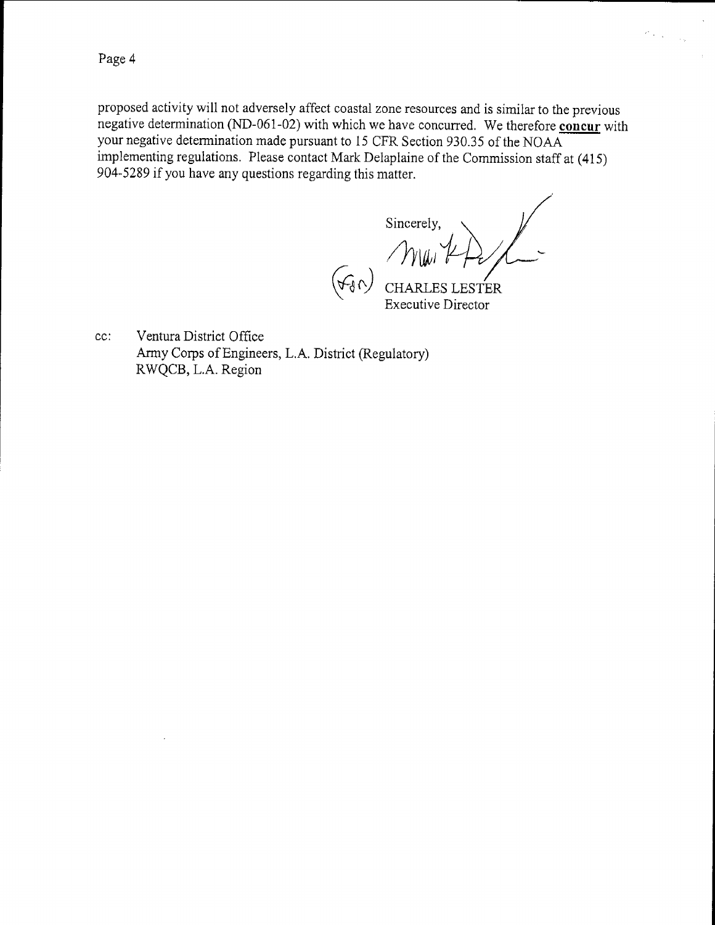proposed activity will not adversely affect coastal zone resources and is similar to the previous negative determination (ND-061-02) with which we have concurred. We therefore **concur** with your negative determination made pursuant to 15 CFR Section 930.35 of the NOAA implementing regulations. Please contact Mark Delaplaine of the Commission staff at ( 415) 904-5289 if you have any questions regarding this matter.

Sincerely,

 $\sigma_{\rm{max}}$ 

 $\sim$   $\sim$ 

 $(\forall \forall)$  CHARLES LESTER Executive Director

cc: Ventura District Office Army Corps of Engineers, L.A. District (Regulatory) R WQCB, L.A. Region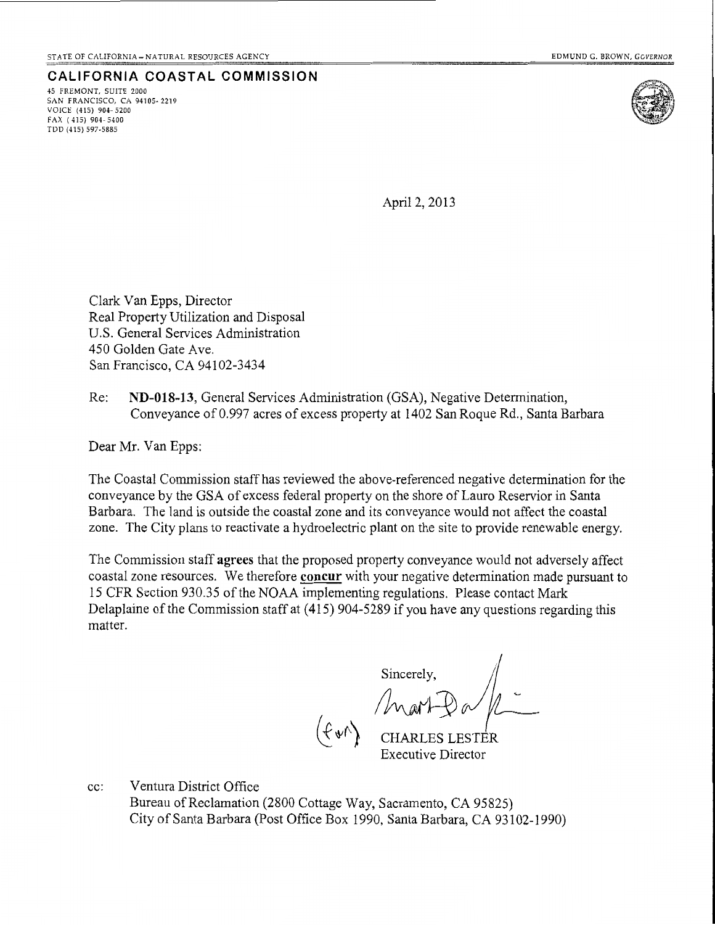**CALIFORNIA COASTAL COMMISSION**  45 FREMONT, SUITE 2000 SAN FRANCISCO, CA 94105- 2219 VOIC£ (415) 904· 5200 FAX ( 4I5) 904· 5400 TDD (415) 597-5885



April 2, 2013

Clark Van Epps, Director Real Property Utilization and Disposal U.S. General Services Administration 450 Golden Gate Ave. San Francisco, CA 94102-3434

Re: **ND-018-13,** General Services Administration (GSA), Negative Determination, Conveyance of0.997 acres of excess property at 1402 San Roque Rd., Santa Barbara

Dear Mr. Van Epps:

The Coastal Commission staff has reviewed the above-referenced negative determination for the conveyance by the GSA of excess federal property on the shore of Lauro Reservior in Santa Barbara. The land is outside the coastal zone and its conveyance would not affect the coastal zone. The City plans to reactivate a hydroelectric plant on the site to provide renewable energy.

The Commission staff agrees that the proposed property conveyance would not adversely affect coastal zone resources. We therefore **concur** with your negative determination made pursuant to 15 CFR Section 930.35 of the NOAA implementing regulations. Please contact Mark Delaplaine of the Commission staff at (415) 904-5289 if you have any questions regarding this matter.

 $\lim_{\epsilon \to 0} \frac{1}{\epsilon} \mathbb{D}_{\epsilon} / \mathbb{D}$ 

 $(\mathcal{F}, \mathcal{F}')$  CHARLES LESTER Executive Director

cc: Ventura District Office Bureau of Reclamation (2800 Cottage Way, Sacramento, CA 95825) City of Santa Barbara (Post Office Box 1990, Santa Barbara, CA 93102-1990)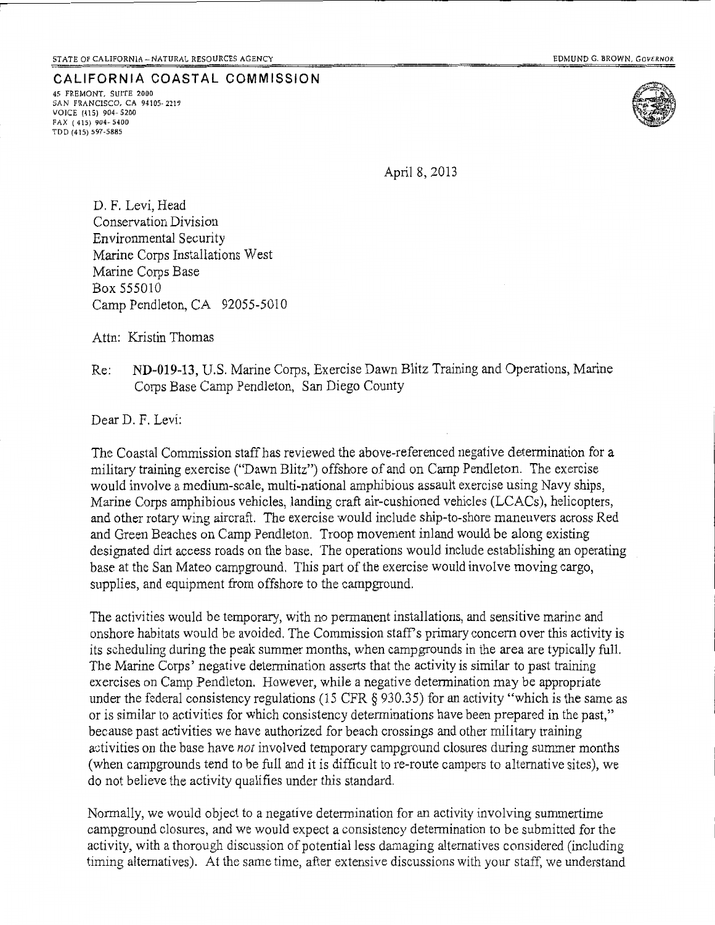TDD (415) 597-5885

**CALIFORNIA COASTAL COMMISSION**  45 FREMONT, SUITE 2000 SAN FRANCISCO, CA 94105-2219 VOICE (415) 904- 5200 FAX ( 415) 904- 5400



April 8, 2013

D. F. Levi, Head Conservation Division Environmental Security Marine Corps Installations West Marine Corps Base Box 555010 Camp Pendleton, CA 92055-5010

Attn: Kristin Thomas

Re: **ND-019-13,** U.S. Marine Corps, Exercise Dawn Blitz Training and Operations, Marine Corps Base Camp Pendleton, San Diego County

Dear D. F. Levi:

The Coastal Commission staff has reviewed the above-referenced negative determination for a military training exercise ("Dawn Blitz") offshore of and on Camp Pendleton. The exercise would involve a medium-scale, multi-national amphibious assault exercise using Navy ships, Marine Corps amphibious vehicles, landing craft air-cushioned vehicles (LCACs), helicopters, and other rotary wing aircraft. The exercise would include ship-to-shore maneuvers across Red and Green Beaches on Camp Pendleton. Troop movement inland would be along existing designated dirt access roads on the base. The operations would include establishing an operating base at the San Mateo campground. This part of the exercise would involve moving cargo, supplies, and equipment from offshore to the campground.

The activities would be temporary, with no permanent installations, and sensitive marine and onshore habitats would be avoided. The Commission staff's primary concern over this activity is its scheduling during the peak summer months, when campgrounds in the area are typically full. The Marine Corps' negative determination asserts that the activity is similar to past training exercises on Camp Pendleton. However, while a negative determination may be appropriate under the federal consistency regulations (15 CFR § 930.35) for an activity "which is the same as or is similar to activities for which consistency determinations have been prepared in the past," because past activities we have authorized for beach crossings and other military training activities on the base have *not* involved temporary campground closures during summer months (when campgrounds tend to be full and it is difficult to re-route campers to alternative sites), we do not believe the activity qualifies under this standard.

Normally, we would object to a negative determination for an activity involving summertime campground closures, and we would expect a consistency determination to be submitted for the activity, with a thorough discussion of potential less damaging alternatives considered (including timing alternatives). At the same time, after extensive discussions with your staff, we understand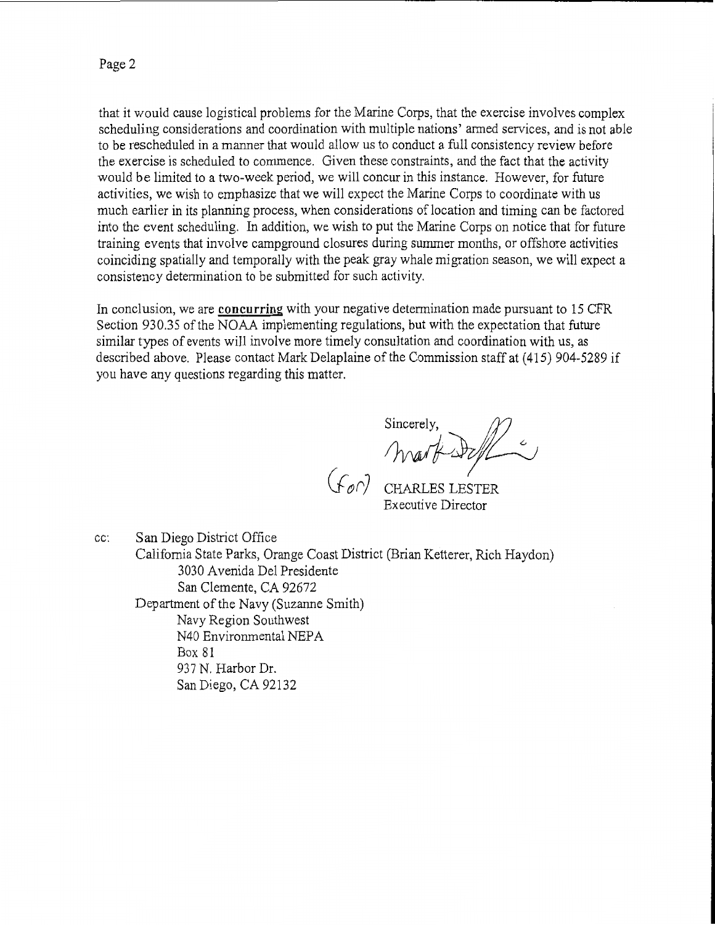that it would cause logistical problems for the Marine Corps, that the exercise involves complex scheduling considerations and coordination with multiple nations' armed services, and is not able to be rescheduled in a manner that would allow *us* to conduct a full consistency review before the exercise is scheduled to commence. Given these constraints, and the fact that the activity would be limited to a two-week period, we will concur in this instance. However, for future activities, we wish to emphasize that we will expect the Marine Corps to coordinate with us much earlier in its planning process, when considerations of location and timing can be factored into the event scheduling. In addition, we wish to put the Marine Corps on notice that for future training events that involve campground closures during summer months, or offshore activities coinciding spatially and temporally with the peak gray whale migration season, we will expect a consistency determination to be submitted for such activity.

In conclusion, we are **concurring** with your negative determination made pursuant to 15 CFR Section 930.35 of the NOAA implementing regulations, but with the expectation that future similar types of events will involve more timely consultation and coordination with us, as described above. Please contact Mark Delaplaine of the Commission staff at (415) 904-5289 if you have any questions regarding this matter.

Sincerely, Sincerely,

CHARLES LESTER Executive Director

cc: San Diego District Office California State Parks, Orange Coast District (Brian Ketterer, Rich Haydon) 3030 A venida Del Presidente San Clemente, CA 92672 Department of the Navy (Suzanne Smith) Navy Region Southwest N40 Environmental NEP A Box 81 937 N. Harbor Dr. San Diego, CA 92132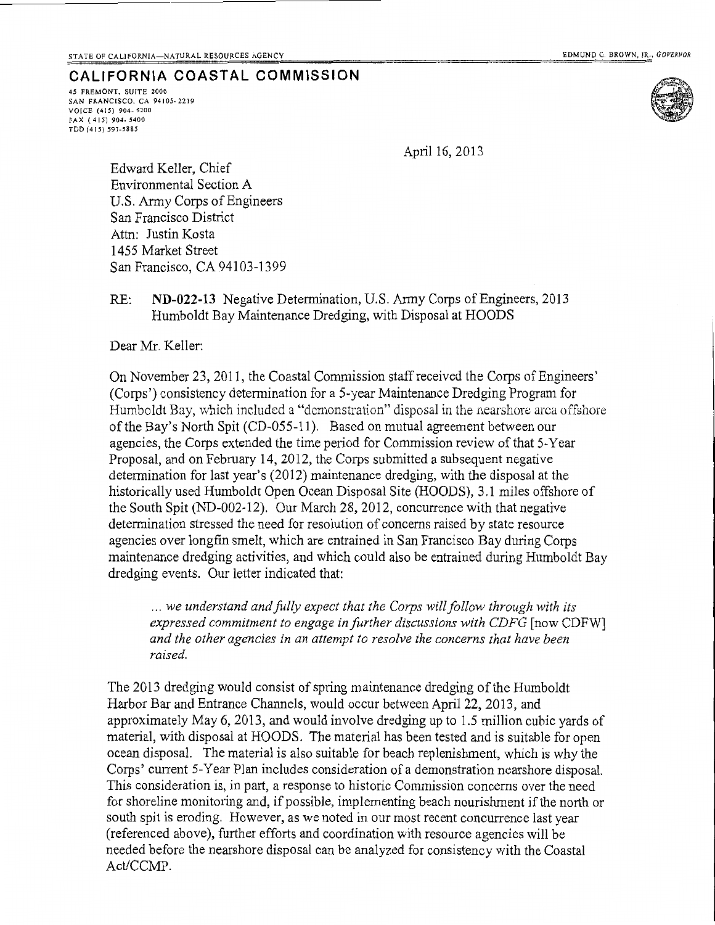## **CALIFORNIA COASTAL COMMISSION**

*45* FREMONT, SUITE 2000 SAN FRANCISCO. CA 94105· 2219 VOICE (415) 904-5200 FAX ( 415) 904- 5400 TDD (415) 597-5885



April 16, 2013

Edward Keller, Chief Environmental Section A U.S. Army Corps of Engineers San Francisco District Attn: Justin Kosta 1455 Market Street San Francisco, CA 94103-1399

# RE: **ND-022-13** Negative Determination, U.S. Army Corps of Engineers, 2013 Humboldt Bay Maintenance Dredging, with Disposal at HOODS

Dear Mr. Keller:

On November 23, 2011, the Coastal Commission staff received the Corps of Engineers' (Corps') consistency determination for a 5-year Maintenance Dredging Program for Humboldt Bay, vvhich included a "demonstration" disposal in the nearshore area offshore ofthe Bay's North Spit (CD-055-11). Based on mutual agreement between our agencies, the Corps extended the time period for Commission review of that 5-Year Proposal, and on February 14, 2012, the Corps submitted a subsequent negative determination for last year's (2012) maintenance dredging, with the disposal at the historically used Humboldt Open Ocean Disposal Site (HOODS), 3.1 miles offshore of the South Spit (ND-002-12). Our March 28, 2012, concurrence with that negative determination stressed the need for resolution of concerns raised by state resource agencies over longfin smelt, which are entrained in San Francisco Bay during Corps maintenance dredging activities, and which could also be entrained during Humboldt Bay dredging events. Our letter indicated that:

... we understand and fully expect that the Corps will follow through with its *expressed commitment to engage in further discussions with CDFG* [now CDFWJ *and the other agencies in an attempt to resolve the concerns that have been raised.* 

The 2013 dredging would consist of spring maintenance dredging of the Humboldt Harbor Bar and Entrance Channels, would occur between April 22, 2013, and approximately May 6, 2013, and would involve dredging up to 1.5 million cubic yards of material, with disposal at HOODS. The material has been tested and is suitable for open ocean disposal. The material is also suitable for beach replenishment, which is why the Corps' current 5-Year Plan includes consideration of a demonstration nearshore disposal. This consideration is, in part, a response to historic Commission concerns over the need for shoreline monitoring and, if possible, implementing beach nourishment if the north or south spit is eroding. However, as we noted in our most recent concurrence last year (referenced above), further efforts and coordination with resource agencies will be needed before the nearshore disposal can be analyzed for consistency with the Coastal Act/CCMP.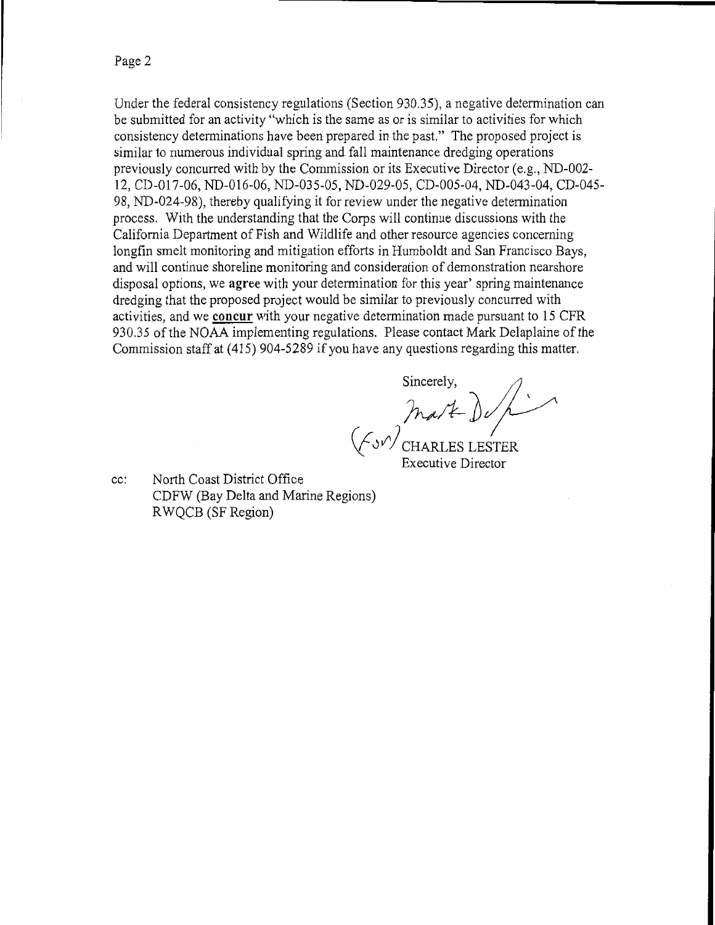Page 2

Under the federal consistency regulations (Section 930.35), a negative determination can be submitted for an activity "which is the same as or is similar to activities for which consistency determinations have been prepared in the past." The proposed project is similar to numerous individual spring and fall maintenance dredging operations previously concurred with by the Commission or its Executive Director (e.g., ND-002- 12, CD-017-06, ND-016-06, ND-035-05, ND-029-05, CD-005-04, ND-043-04, CD-045- 98, ND-024-98), thereby qualifying it for review under the negative determination process. With the understanding that the Corps will continue discussions with the California Department of Fish and Wildlife and other resource agencies concerning longfin smelt monitoring and mitigation efforts in Humboldt and San Francisco Bays, and will continue shoreline monitoring and consideration of demonstration nearshore disposal options, we **agree** with your determination for this year' spring maintenance dredging that the proposed project would be similar to previously concurred with activities, and we **concur** with your negative determination made pursuant to 15 CFR 930.35 of the NOAA implementing regulations. Please contact Mark Delaplaine of the Commission staff at (415) 904-5289 if you have any questions regarding this matter.

Sincerely

 $|maxE$  de  $\rho$ (f J *V')* CHARLES LESTER

Executive Director

cc: North Coast District Office CDFW (Bay Delta and Marine Regions) R WQCB (SF Region)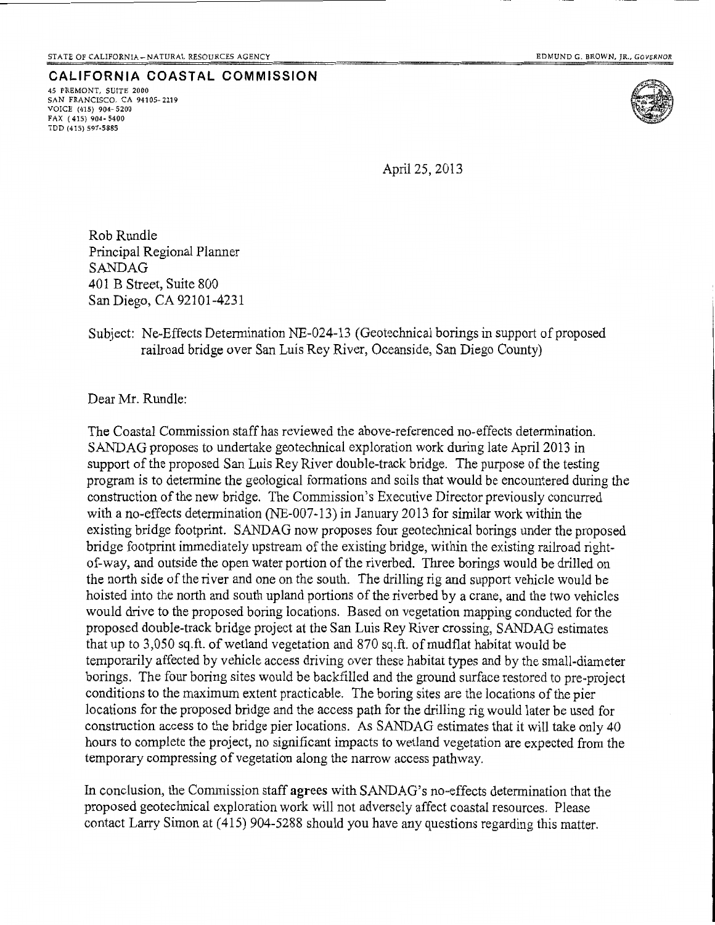**CALIFORNIA COASTAL COMMISSION**  45 FREMONT, SUITE 2000 SAN FRANCISCO, CA 94105-2219 VOICE (415) 904· 5200 FAX ( 415) 904-5400 TDD (415) 597-5885



April25,2013

Rob Rundle Principal Regional Planner SANDAG 401 B Street, Suite 800 San Diego, CA 92101-4231

Subject: Ne-Effects Determination NE-024-13 (Geotechnical borings in support of proposed railroad bridge over San Luis Rey River, Oceanside, San Diego County)

Dear Mr. Rundle:

The Coastal Commission staff has reviewed the above-referenced no-effects determination. SANDAG proposes to undertake geotechnical exploration work during late April2013 in support of the proposed San Luis Rey River double-track bridge. The purpose of the testing program is to determine the geological formations and soils that would be encountered during the construction of the new bridge. The Commission's Executive Director previously concurred with a no-effects determination (NE-007-13) in January 2013 for similar work within the existing bridge footprint. SANDAG now proposes four geotechnical borings under the proposed bridge footprint immediately upstream of the existing bridge, within the existing railroad rightof-way, and outside the open water portion of the riverbed. Three borings would be drilled on the north side of the river and one on the south. The drilling rig and support vehicle would be hoisted into the north and south upland portions of the riverbed by a crane, and the two vehicles would drive to the proposed boring locations. Based on vegetation mapping conducted for the proposed double-track bridge project at the San Luis Rey River crossing, SANDAG estimates that up to 3,050 sq.ft. of wetland vegetation and 870 sq.ft. of mudflat habitat would be temporarily affected by vehicle access driving over these habitat types and by the small-diameter borings. The four boring sites would be backfilled and the ground surface restored to pre-project conditions to the maximum extent practicable. The boring sites are the locations of the pier locations for the proposed bridge and the access path for the drilling rig would later be used for construction access to the bridge pier locations. As SANDAG estimates that it will take only 40 hours to complete the project, no significant impacts to wetland vegetation are expected from the temporary compressing of vegetation along the narrow access pathway.

In conclusion, the Commission staff agrees with SANDAG's no-effects determination that the proposed geotechnical exploration work will not adversely affect coastal resources. Please contact Larry Simon at ( 415) 904-5288 should you have any questions regarding this matter.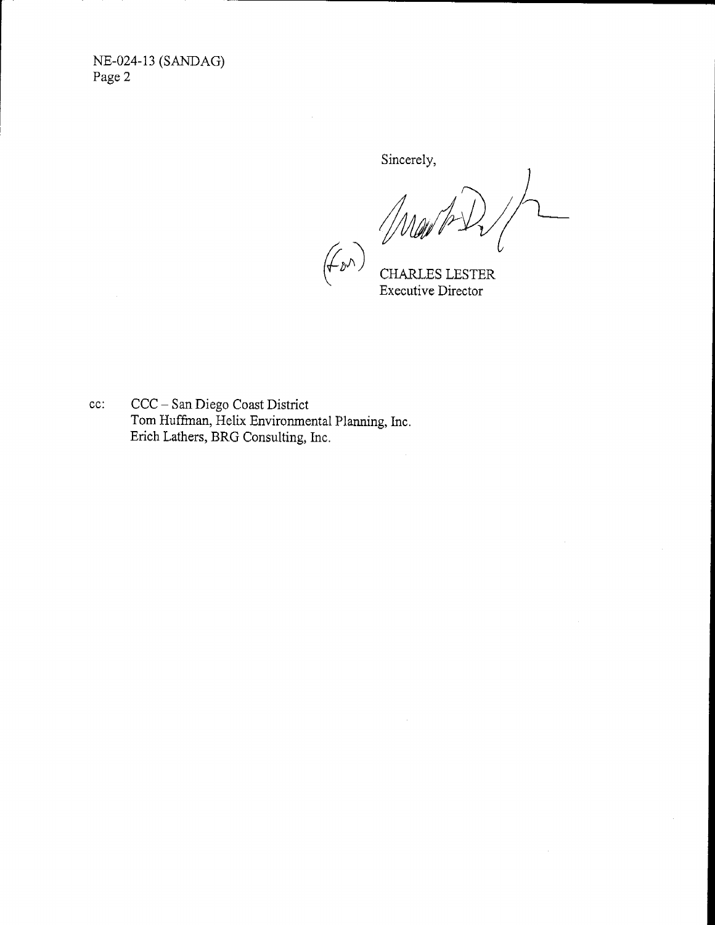NE-024-13 (SANDAG) Page 2

Sincerely,

(F D<sup>r</sup>)<br>(F D<sup>r</sup>)<br>Executive Director

cc: CCC- San Diego Coast District Tom Huffman, Helix Environmental Planning, Inc. Erich Lathers, BRG Consulting, Inc.